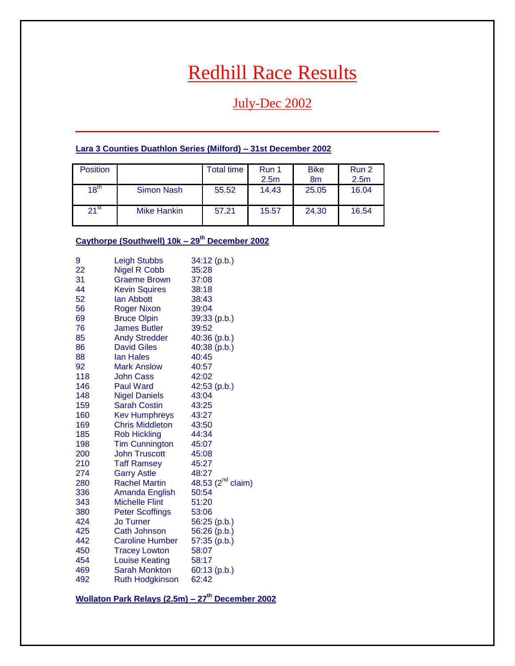# Redhill Race Results

# July-Dec 2002

### <span id="page-0-0"></span>**Lara 3 Counties Duathlon Series (Milford) – 31st December 2002**

| Position  |                    | <b>Total time</b> | Run 1<br>2.5 <sub>m</sub> | <b>Bike</b><br>8 <sub>m</sub> | Run 2<br>2.5 <sub>m</sub> |
|-----------|--------------------|-------------------|---------------------------|-------------------------------|---------------------------|
| $18^{th}$ | <b>Simon Nash</b>  | 55.52             | 14.43                     | 25.05                         | 16.04                     |
| $21^{st}$ | <b>Mike Hankin</b> | 57.21             | 15.57                     | 24.30                         | 16.54                     |

# **Caythorpe (Southwell) 10k – 29th December 2002**

| 9   | <b>Leigh Stubbs</b>    | 34:12 (p.b.)                  |
|-----|------------------------|-------------------------------|
| 22  | <b>Nigel R Cobb</b>    | 35:28                         |
| 31  | <b>Graeme Brown</b>    | 37:08                         |
| 44  | <b>Kevin Squires</b>   | 38:18                         |
| 52  | lan Abbott             | 38:43                         |
| 56  | <b>Roger Nixon</b>     | 39:04                         |
| 69  | <b>Bruce Olpin</b>     | 39:33 (p.b.)                  |
| 76  | <b>James Butler</b>    | 39:52                         |
| 85  | <b>Andy Stredder</b>   | 40:36 (p.b.)                  |
| 86  | <b>David Giles</b>     | 40:38 (p.b.)                  |
| 88  | <b>Ian Hales</b>       | 40:45                         |
| 92  | <b>Mark Anslow</b>     | 40:57                         |
| 118 | John Cass              | 42:02                         |
| 146 | <b>Paul Ward</b>       | 42:53 (p.b.)                  |
| 148 | <b>Nigel Daniels</b>   | 43:04                         |
| 159 | <b>Sarah Costin</b>    | 43:25                         |
| 160 | <b>Kev Humphreys</b>   | 43:27                         |
| 169 | <b>Chris Middleton</b> | 43:50                         |
| 185 | <b>Rob Hickling</b>    | 44:34                         |
| 198 | <b>Tim Cunnington</b>  | 45:07                         |
| 200 | <b>John Truscott</b>   | 45:08                         |
| 210 | <b>Taff Ramsey</b>     | 45:27                         |
| 274 | <b>Garry Astle</b>     | 48:27                         |
| 280 | <b>Rachel Martin</b>   | 48.53 (2 <sup>nd</sup> claim) |
| 336 | Amanda English         | 50:54                         |
| 343 | <b>Michelle Flint</b>  | 51:20                         |
| 380 | <b>Peter Scoffings</b> | 53:06                         |
| 424 | <b>Jo Turner</b>       | 56:25 (p.b.)                  |
| 425 | Cath Johnson           | 56:26 (p.b.)                  |
| 442 | <b>Caroline Humber</b> | 57:35 (p.b.)                  |
| 450 | <b>Tracey Lowton</b>   | 58:07                         |
| 454 | <b>Louise Keating</b>  | 58:17                         |
| 469 | Sarah Monkton          | 60:13 (p.b.)                  |
| 492 | <b>Ruth Hodgkinson</b> | 62:42                         |

**Wollaton Park Relays (2.5m) – 27th December 2002**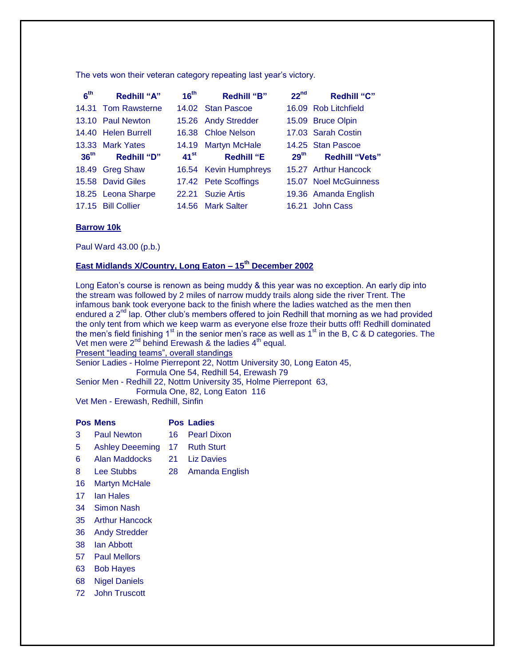The vets won their veteran category repeating last year's victory.

| 6 <sup>th</sup>  | <b>Redhill "A"</b>  | 16 <sup>th</sup> | <b>Redhill "B"</b>    | 22 <sup>nd</sup> | <b>Redhill "C"</b>    |
|------------------|---------------------|------------------|-----------------------|------------------|-----------------------|
|                  | 14.31 Tom Rawsterne |                  | 14.02 Stan Pascoe     |                  | 16.09 Rob Litchfield  |
|                  | 13.10 Paul Newton   |                  | 15.26 Andy Stredder   |                  | 15.09 Bruce Olpin     |
|                  | 14.40 Helen Burrell | 16.38            | <b>Chloe Nelson</b>   |                  | 17.03 Sarah Costin    |
|                  | 13.33 Mark Yates    | 14.19            | <b>Martyn McHale</b>  |                  | 14.25 Stan Pascoe     |
|                  |                     |                  |                       |                  |                       |
| 36 <sup>th</sup> | <b>Redhill "D"</b>  | $41^{st}$        | <b>Redhill "E</b>     | $29^{\text{th}}$ | <b>Redhill "Vets"</b> |
|                  | 18.49 Greg Shaw     |                  | 16.54 Kevin Humphreys |                  | 15.27 Arthur Hancock  |
|                  | 15.58 David Giles   |                  | 17.42 Pete Scoffings  |                  | 15.07 Noel McGuinness |
|                  | 18.25 Leona Sharpe  |                  | 22.21 Suzie Artis     |                  | 19.36 Amanda English  |

#### **Barrow 10k**

Paul Ward 43.00 (p.b.)

# **East Midlands X/Country, Long Eaton – 15th December 2002**

Long Eaton's course is renown as being muddy & this year was no exception. An early dip into the stream was followed by 2 miles of narrow muddy trails along side the river Trent. The infamous bank took everyone back to the finish where the ladies watched as the men then endured a  $2<sup>nd</sup>$  lap. Other club's members offered to join Redhill that morning as we had provided the only tent from which we keep warm as everyone else froze their butts off! Redhill dominated the men's field finishing  $1<sup>st</sup>$  in the senior men's race as well as  $1<sup>st</sup>$  in the B, C & D categories. The Vet men were  $2^{nd}$  behind Erewash & the ladies  $4^{th}$  equal. Present "leading teams", overall standings

Senior Ladies - Holme Pierrepont 22, Nottm University 30, Long Eaton 45, Formula One 54, Redhill 54, Erewash 79

Senior Men - Redhill 22, Nottm University 35, Holme Pierrepont 63,

Formula One, 82, Long Eaton 116

Vet Men - Erewash, Redhill, Sinfin

#### **Pos Mens Pos Ladies**

- 3 Paul Newton 16 Pearl Dixon
- 5 Ashley Deeeming 17 Ruth Sturt
- 6 Alan Maddocks 21 Liz Davies
- 8 Lee Stubbs 28 Amanda English
- 16 Martyn McHale
- 17 Ian Hales
- 34 Simon Nash
- 35 Arthur Hancock
- 36 Andy Stredder
- 38 Ian Abbott
- 57 Paul Mellors
- 63 Bob Hayes
- 68 Nigel Daniels
- 72 John Truscott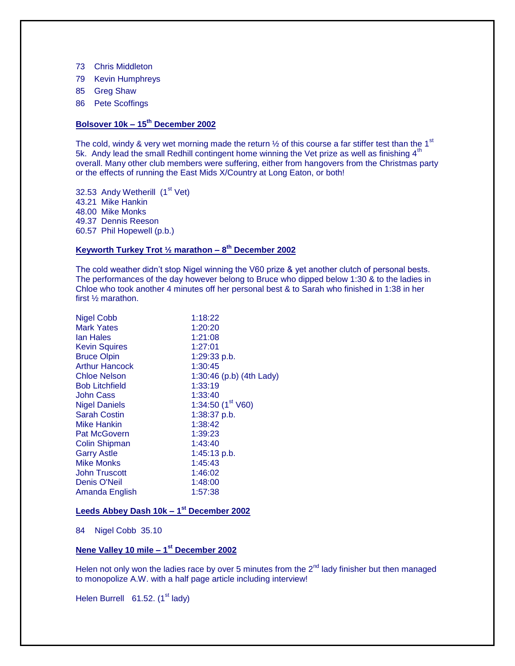- 73 Chris Middleton
- 79 Kevin Humphreys
- 85 Greg Shaw
- 86 Pete Scoffings

#### **Bolsover 10k – 15th December 2002**

The cold, windy & very wet morning made the return  $\frac{1}{2}$  of this course a far stiffer test than the 1<sup>st</sup> 5k. Andy lead the small Redhill contingent home winning the Vet prize as well as finishing  $4<sup>th</sup>$ overall. Many other club members were suffering, either from hangovers from the Christmas party or the effects of running the East Mids X/Country at Long Eaton, or both!

32.53 Andy Wetherill (1<sup>st</sup> Vet) 43.21 Mike Hankin 48.00 Mike Monks 49.37 Dennis Reeson 60.57 Phil Hopewell (p.b.)

#### **Keyworth Turkey Trot ½ marathon – 8 th December 2002**

The cold weather didn't stop Nigel winning the V60 prize & yet another clutch of personal bests. The performances of the day however belong to Bruce who dipped below 1:30 & to the ladies in Chloe who took another 4 minutes off her personal best & to Sarah who finished in 1:38 in her first ½ marathon.

| <b>Nigel Cobb</b>     | 1:18:22                    |
|-----------------------|----------------------------|
| <b>Mark Yates</b>     | 1:20:20                    |
| lan Hales             | 1:21:08                    |
| <b>Kevin Squires</b>  | 1:27:01                    |
| <b>Bruce Olpin</b>    | 1:29:33 p.b.               |
| <b>Arthur Hancock</b> | 1:30:45                    |
| Chloe Nelson          | 1:30:46 (p.b) $(4th$ Lady) |
| <b>Bob Litchfield</b> | 1:33:19                    |
| <b>John Cass</b>      | 1:33:40                    |
| <b>Nigel Daniels</b>  | 1:34:50 $(1st V60)$        |
| <b>Sarah Costin</b>   | 1:38:37 p.b.               |
| Mike Hankin           | 1:38:42                    |
| <b>Pat McGovern</b>   | 1:39:23                    |
| <b>Colin Shipman</b>  | 1:43:40                    |
| <b>Garry Astle</b>    | $1:45:13$ p.b.             |
| Mike Monks            | 1:45:43                    |
| <b>John Truscott</b>  | 1:46:02                    |
| <b>Denis O'Neil</b>   | 1:48:00                    |
| Amanda English        | 1:57:38                    |

#### **Leeds Abbey Dash 10k – 1 st December 2002**

84 Nigel Cobb 35.10

#### **Nene Valley 10 mile – 1 st December 2002**

Helen not only won the ladies race by over 5 minutes from the  $2<sup>nd</sup>$  lady finisher but then managed to monopolize A.W. with a half page article including interview!

Helen Burrell  $61.52$ . (1<sup>st</sup> lady)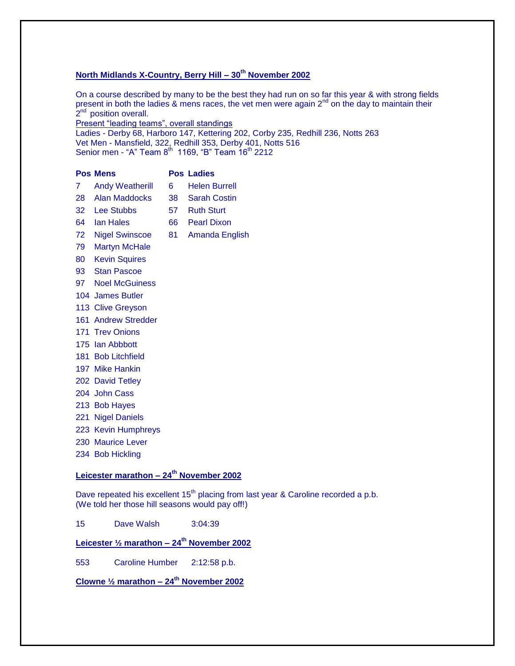### **North Midlands X-Country, Berry Hill – 30th November 2002**

On a course described by many to be the best they had run on so far this year & with strong fields present in both the ladies & mens races, the vet men were again 2<sup>nd</sup> on the day to maintain their 2<sup>nd</sup> position overall.

Present "leading teams", overall standings

Ladies - Derby 68, Harboro 147, Kettering 202, Corby 235, Redhill 236, Notts 263 Vet Men - Mansfield, 322, Redhill 353, Derby 401, Notts 516 Senior men - "A" Team  $8^{\text{th}}\,$  1169, "B" Team 16 $^{\text{th}}$  2212

|                | <b>Pos Mens</b>        |    | <b>Pos Ladies</b>    |
|----------------|------------------------|----|----------------------|
| 7 <sup>1</sup> | <b>Andy Weatherill</b> | 6  | <b>Helen Burrell</b> |
| 28.            | Alan Maddocks          | 38 | <b>Sarah Costin</b>  |
| 32             | Lee Stubbs             | 57 | <b>Ruth Sturt</b>    |
| 64             | lan Hales              | 66 | <b>Pearl Dixon</b>   |
| 72             | <b>Nigel Swinscoe</b>  | 81 | Amanda English       |
| 79             | <b>Martyn McHale</b>   |    |                      |
| 80             | <b>Kevin Squires</b>   |    |                      |
| 93             | <b>Stan Pascoe</b>     |    |                      |

- 97 Noel McGuiness
- James Butler
- Clive Greyson
- Andrew Stredder
- Trev Onions
- Ian Abbbott
- Bob Litchfield
- Mike Hankin
- David Tetley
- John Cass
- Bob Hayes
- Nigel Daniels
- Kevin Humphreys
- Maurice Lever
- Bob Hickling

### **Leicester marathon – 24th November 2002**

Dave repeated his excellent 15<sup>th</sup> placing from last year & Caroline recorded a p.b. (We told her those hill seasons would pay off!)

Dave Walsh 3:04:39

# **Leicester ½ marathon – 24th November 2002**

Caroline Humber 2:12:58 p.b.

### **Clowne ½ marathon – 24th November 2002**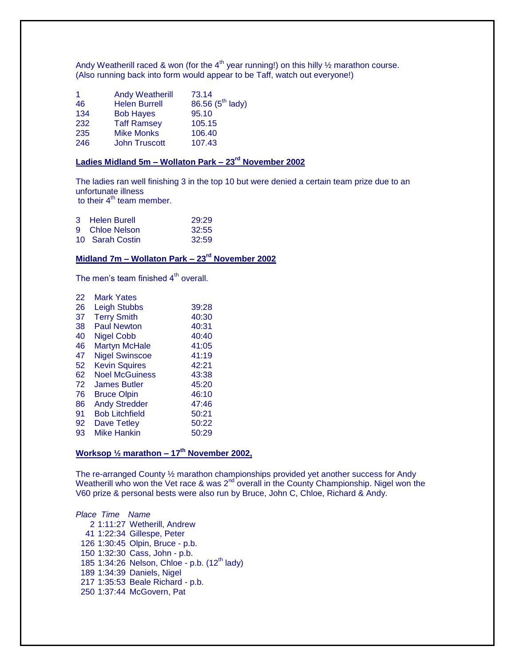Andy Weatherill raced & won (for the 4<sup>th</sup> year running!) on this hilly  $\frac{1}{2}$  marathon course. (Also running back into form would appear to be Taff, watch out everyone!)

| -1  | <b>Andy Weatherill</b> | 73.14                        |
|-----|------------------------|------------------------------|
| 46  | <b>Helen Burrell</b>   | 86.56 (5 <sup>th</sup> lady) |
| 134 | <b>Bob Hayes</b>       | 95.10                        |
| 232 | <b>Taff Ramsey</b>     | 105.15                       |
| 235 | <b>Mike Monks</b>      | 106.40                       |
| 246 | <b>John Truscott</b>   | 107.43                       |

#### **Ladies Midland 5m – Wollaton Park – 23rd November 2002**

The ladies ran well finishing 3 in the top 10 but were denied a certain team prize due to an unfortunate illness

to their  $4<sup>th</sup>$  team member.

| 3 Helen Burell  | 29:29 |
|-----------------|-------|
| 9 Chloe Nelson  | 32:55 |
| 10 Sarah Costin | 32:59 |

### **Midland 7m – Wollaton Park – 23rd November 2002**

The men's team finished  $4<sup>th</sup>$  overall.

| 22 | <b>Mark Yates</b>     |       |
|----|-----------------------|-------|
| 26 | <b>Leigh Stubbs</b>   | 39:28 |
| 37 | <b>Terry Smith</b>    | 40:30 |
| 38 | <b>Paul Newton</b>    | 40:31 |
| 40 | <b>Nigel Cobb</b>     | 40:40 |
| 46 | <b>Martyn McHale</b>  | 41:05 |
| 47 | <b>Nigel Swinscoe</b> | 41:19 |
| 52 | <b>Kevin Squires</b>  | 42:21 |
| 62 | <b>Noel McGuiness</b> | 43:38 |
| 72 | James Butler          | 45:20 |
| 76 | <b>Bruce Olpin</b>    | 46:10 |
| 86 | <b>Andy Stredder</b>  | 47:46 |
| 91 | <b>Bob Litchfield</b> | 50:21 |
| 92 | Dave Tetley           | 50:22 |
| 93 | Mike Hankin           | 50:29 |
|    |                       |       |

#### **Worksop ½ marathon – 17th November 2002,**

The re-arranged County ½ marathon championships provided yet another success for Andy Weatherill who won the Vet race & was  $2<sup>nd</sup>$  overall in the County Championship. Nigel won the V60 prize & personal bests were also run by Bruce, John C, Chloe, Richard & Andy.

*Place Time Name* 1:11:27 Wetherill, Andrew 1:22:34 Gillespe, Peter 1:30:45 Olpin, Bruce - p.b. 1:32:30 Cass, John - p.b. 185 1:34:26 Nelson, Chloe - p.b. (12<sup>th</sup> lady) 1:34:39 Daniels, Nigel 1:35:53 Beale Richard - p.b. 1:37:44 McGovern, Pat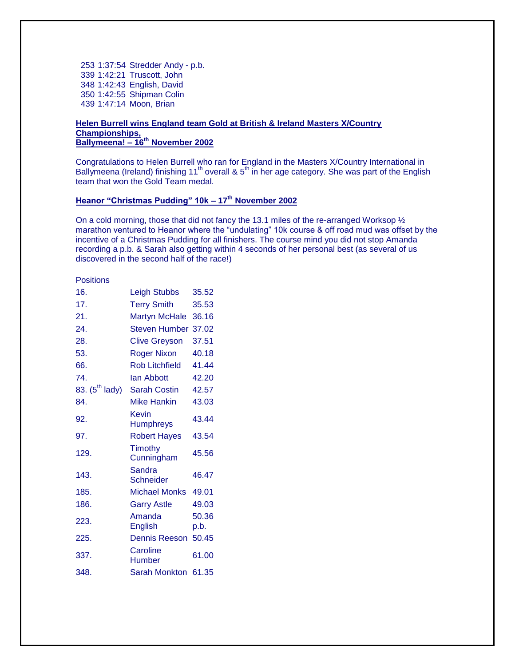1:37:54 Stredder Andy - p.b. 1:42:21 Truscott, John 1:42:43 English, David 1:42:55 Shipman Colin 1:47:14 Moon, Brian

#### **Helen Burrell wins England team Gold at British & Ireland Masters X/Country Championships, Ballymeena! – 16th November 2002**

Congratulations to Helen Burrell who ran for England in the Masters X/Country International in Ballymeena (Ireland) finishing 11<sup>th</sup> overall & 5<sup>th</sup> in her age category. She was part of the English team that won the Gold Team medal.

### **Heanor "Christmas Pudding" 10k – 17th November 2002**

On a cold morning, those that did not fancy the 13.1 miles of the re-arranged Worksop  $\frac{1}{2}$ marathon ventured to Heanor where the "undulating" 10k course & off road mud was offset by the incentive of a Christmas Pudding for all finishers. The course mind you did not stop Amanda recording a p.b. & Sarah also getting within 4 seconds of her personal best (as several of us discovered in the second half of the race!)

#### **Positions**

| 16.                 | <b>Leigh Stubbs</b>        | 35.52         |
|---------------------|----------------------------|---------------|
| 17.                 | <b>Terry Smith</b>         | 35.53         |
| 21.                 | <b>Martyn McHale</b>       | 36.16         |
| 24.                 | Steven Humber              | 37.02         |
| 28.                 | <b>Clive Greyson</b>       | 37.51         |
| 53.                 | <b>Roger Nixon</b>         | 40.18         |
| 66.                 | <b>Rob Litchfield</b>      | 41.44         |
| 74.                 | lan Abbott                 | 42.20         |
| 83. $(5^{th}$ lady) | <b>Sarah Costin</b>        | 42.57         |
| 84.                 | Mike Hankin                | 43.03         |
| 92.                 | Kevin<br><b>Humphreys</b>  | 43.44         |
| 97.                 | <b>Robert Hayes</b>        | 43.54         |
| 129.                | Timothy<br>Cunningham      | 45.56         |
| 143.                | Sandra<br><b>Schneider</b> | 46.47         |
| 185.                | <b>Michael Monks</b>       | 49.01         |
| 186.                | <b>Garry Astle</b>         | 49.03         |
| 223.                | Amanda<br>English          | 50.36<br>p.b. |
| 225.                | <b>Dennis Reeson</b>       | 50.45         |
| 337.                | Caroline<br>Humber         | 61.00         |
| 348.                | Sarah Monkton              | 61.35         |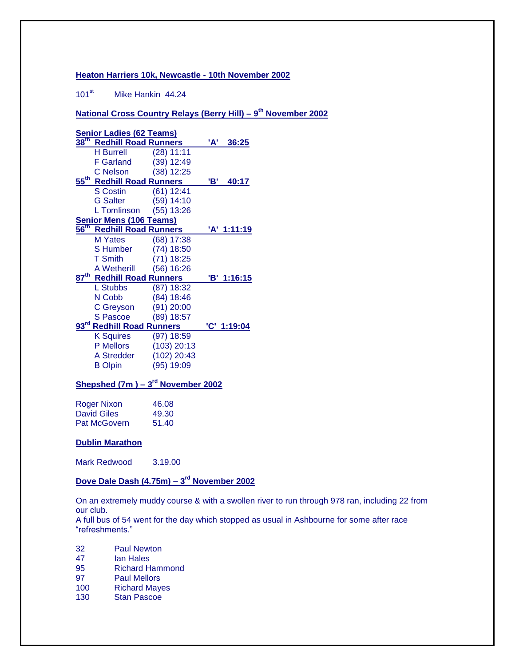#### **Heaton Harriers 10k, Newcastle - 10th November 2002**

101<sup>st</sup> Mike Hankin 44.24

**National Cross Country Relays (Berry Hill) – 9 th November 2002**

|                  | <b>Senior Ladies (62 Teams)</b>       |               |     |             |
|------------------|---------------------------------------|---------------|-----|-------------|
| $\frac{38}{10}$  | <b>Redhill Road Runners</b>           |               | 'A' | 36:25       |
|                  | <b>H</b> Burrell                      | (28) 11:11    |     |             |
|                  | F Garland                             | (39) 12:49    |     |             |
|                  | C Nelson                              | $(38)$ 12:25  |     |             |
|                  | 55 <sup>th</sup> Redhill Road Runners |               | 'B' | 40:17       |
|                  | <b>S</b> Costin                       | $(61)$ 12:41  |     |             |
|                  | <b>G</b> Salter                       | $(59)$ 14:10  |     |             |
|                  | L Tomlinson                           | $(55)$ 13:26  |     |             |
|                  | <b>Senior Mens (106 Teams)</b>        |               |     |             |
| $\frac{56}{th}$  | <b>Redhill Road Runners</b>           |               |     | 'A' 1:11:19 |
|                  | <b>M</b> Yates                        | (68) 17:38    |     |             |
|                  | <b>S</b> Humber                       | $(74)$ 18:50  |     |             |
|                  | <b>T</b> Smith                        | (71) 18:25    |     |             |
|                  | A Wetherill                           | $(56)$ 16:26  |     |             |
| $87^{\rm th}$    | <b>Redhill Road Runners</b>           |               |     | 'B' 1:16:15 |
|                  | L Stubbs                              | $(87)$ 18:32  |     |             |
|                  | N Cobb                                | $(84)$ 18:46  |     |             |
|                  | C Greyson                             | $(91)$ 20:00  |     |             |
|                  | <b>S</b> Pascoe                       | $(89)$ 18:57  |     |             |
| $93^{\text{rd}}$ | <b>Redhill Road Runners</b>           |               |     | 'C' 1:19:04 |
|                  | <b>K</b> Squires                      | (97) 18:59    |     |             |
|                  | <b>P</b> Mellors                      | $(103)$ 20:13 |     |             |
|                  | A Stredder                            | $(102)$ 20:43 |     |             |
|                  | <b>B</b> Olpin                        | (95) 19:09    |     |             |
|                  |                                       |               |     |             |

#### **Shepshed (7m ) – 3 rd November 2002**

| <b>Roger Nixon</b>  | 46.08 |
|---------------------|-------|
| David Giles         | 49.30 |
| <b>Pat McGovern</b> | 51.40 |

#### **Dublin Marathon**

Mark Redwood 3.19.00

**Dove Dale Dash (4.75m) – 3 rd November 2002**

On an extremely muddy course & with a swollen river to run through 978 ran, including 22 from our club.

A full bus of 54 went for the day which stopped as usual in Ashbourne for some after race "refreshments."

- 32 Paul Newton
- 47 Ian Hales
- 95 Richard Hammond
- 97 Paul Mellors<br>100 Richard May
- **Richard Mayes**
- 130 Stan Pascoe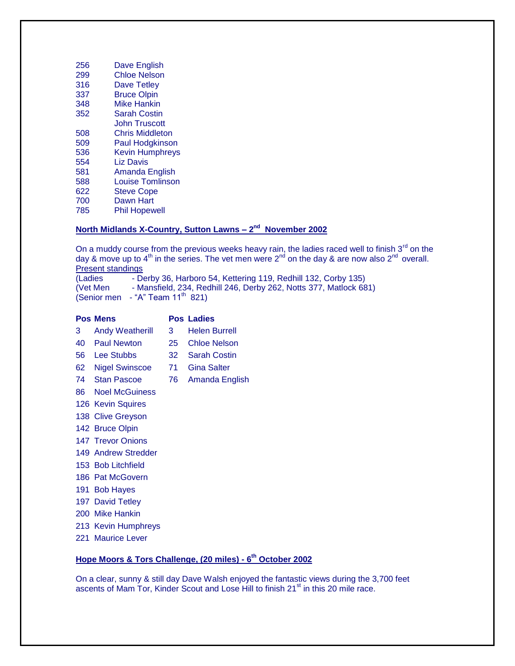| 256 | Dave English            |
|-----|-------------------------|
| 299 | <b>Chloe Nelson</b>     |
| 316 | <b>Dave Tetley</b>      |
| 337 | <b>Bruce Olpin</b>      |
| 348 | <b>Mike Hankin</b>      |
| 352 | Sarah Costin            |
|     | <b>John Truscott</b>    |
| 508 | <b>Chris Middleton</b>  |
| 509 | <b>Paul Hodgkinson</b>  |
| 536 | <b>Kevin Humphreys</b>  |
| 554 | Liz Davis               |
| 581 | Amanda English          |
| 588 | <b>Louise Tomlinson</b> |
| 622 | <b>Steve Cope</b>       |
| 700 | Dawn Hart               |
| 785 | <b>Phil Hopewell</b>    |

#### **North Midlands X-Country, Sutton Lawns – 2 nd November 2002**

On a muddy course from the previous weeks heavy rain, the ladies raced well to finish  $3<sup>rd</sup>$  on the day & move up to 4<sup>th</sup> in the series. The vet men were 2<sup>nd</sup> on the day & are now also 2<sup>nd</sup> overall. Present standings

(Ladies - Derby 36, Harboro 54, Kettering 119, Redhill 132, Corby 135) (Vet Men - Mansfield, 234, Redhill 246, Derby 262, Notts 377, Matlock 681) (Senior men - "A" Team  $11<sup>th</sup>$  821)

|    | <b>Pos Mens</b>        |    | <b>Pos Ladies</b>    |
|----|------------------------|----|----------------------|
| 3. | <b>Andy Weatherill</b> | 3. | <b>Helen Burrell</b> |
| 40 | <b>Paul Newton</b>     | 25 | <b>Chloe Nelson</b>  |
| 56 | <b>Lee Stubbs</b>      | 32 | Sarah Costin         |
| 62 | <b>Nigel Swinscoe</b>  | 71 | <b>Gina Salter</b>   |
| 74 | <b>Stan Pascoe</b>     | 76 | Amanda English       |
| 86 | <b>Noel McGuiness</b>  |    |                      |
|    | 126 Kevin Squires      |    |                      |
|    | 138 Clive Greyson      |    |                      |
|    | 142 Bruce Olpin        |    |                      |
|    | 147 Trevor Onions      |    |                      |
|    | 149 Andrew Stredder    |    |                      |
|    | 153 Bob Litchfield     |    |                      |
|    | 186 Pat McGovern       |    |                      |
|    | 191 Bob Hayes          |    |                      |
|    | 197 David Tetley       |    |                      |
|    | 200 Mike Hankin        |    |                      |

Kevin Humphreys

Maurice Lever

#### **Hope Moors & Tors Challenge, (20 miles) - 6 th October 2002**

On a clear, sunny & still day Dave Walsh enjoyed the fantastic views during the 3,700 feet ascents of Mam Tor, Kinder Scout and Lose Hill to finish 21<sup>st</sup> in this 20 mile race.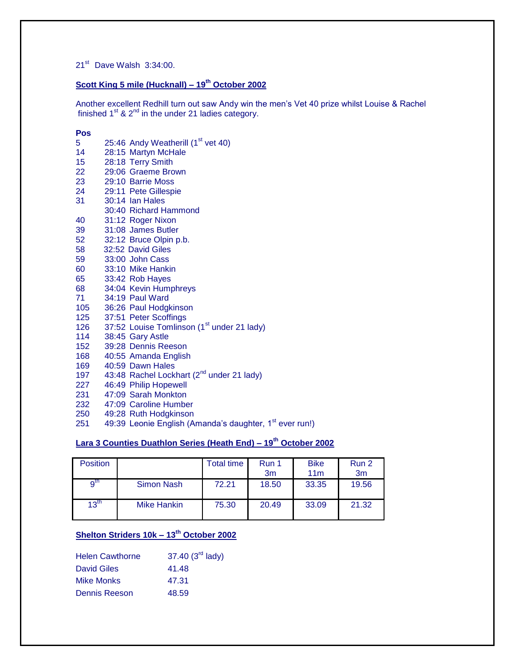21<sup>st</sup> Dave Walsh 3:34:00.

# **Scott King 5 mile (Hucknall) – 19th October 2002**

Another excellent Redhill turn out saw Andy win the men's Vet 40 prize whilst Louise & Rachel finished  $1^{st}$  &  $2^{nd}$  in the under 21 ladies category.

#### **Pos**

| 5   | 25:46 Andy Weatherill (1 <sup>st</sup> vet 40)         |
|-----|--------------------------------------------------------|
| 14  | 28:15 Martyn McHale                                    |
| 15  | 28:18 Terry Smith                                      |
| 22  | 29:06 Graeme Brown                                     |
| 23  | 29:10 Barrie Moss                                      |
| 24  | 29:11 Pete Gillespie                                   |
| 31  | 30:14 Ian Hales                                        |
|     | 30:40 Richard Hammond                                  |
| 40  | 31:12 Roger Nixon                                      |
| 39  | 31:08 James Butler                                     |
| 52  | 32:12 Bruce Olpin p.b.                                 |
| 58  | 32:52 David Giles                                      |
| 59  | 33:00 John Cass                                        |
| 60  | 33:10 Mike Hankin                                      |
| 65  | 33:42 Rob Hayes                                        |
| 68  | 34:04 Kevin Humphreys                                  |
| 71  | 34:19 Paul Ward                                        |
| 105 | 36:26 Paul Hodgkinson                                  |
| 125 | 37:51 Peter Scoffings                                  |
| 126 | 37:52 Louise Tomlinson (1 <sup>st</sup> under 21 lady) |
| 114 | 38:45 Gary Astle                                       |
| 152 | 39:28 Dennis Reeson                                    |
| 168 | 40:55 Amanda English                                   |
| 169 | 40:59 Dawn Hales                                       |
| 197 | 43:48 Rachel Lockhart (2 <sup>nd</sup> under 21 lady)  |
| 227 | 46:49 Philip Hopewell                                  |
| 231 | 47:09 Sarah Monkton                                    |
| 232 | 47:09 Caroline Humber                                  |
| חבר | 10:28 Duth Hodakincon                                  |

- 250 49:28 Ruth Hodgkinson
- 251  $49:39$  Leonie English (Amanda's daughter, 1<sup>st</sup> ever run!)

# **Lara 3 Counties Duathlon Series (Heath End) – 19th October 2002**

| <b>Position</b>  |             | <b>Total time</b> | Run 1<br>3m | <b>Bike</b><br>11 <sub>m</sub> | Run 2<br>3 <sub>m</sub> |
|------------------|-------------|-------------------|-------------|--------------------------------|-------------------------|
| q <sup>th</sup>  | Simon Nash  | 72.21             | 18.50       | 33.35                          | 19.56                   |
| $13^{\text{th}}$ | Mike Hankin | 75.30             | 20.49       | 33.09                          | 21.32                   |

# **Shelton Striders 10k – 13th October 2002**

| <b>Helen Cawthorne</b> | 37.40 (3 <sup>rd</sup> lady) |
|------------------------|------------------------------|
| <b>David Giles</b>     | 41.48                        |
| Mike Monks             | 47.31                        |
| Dennis Reeson          | 48.59                        |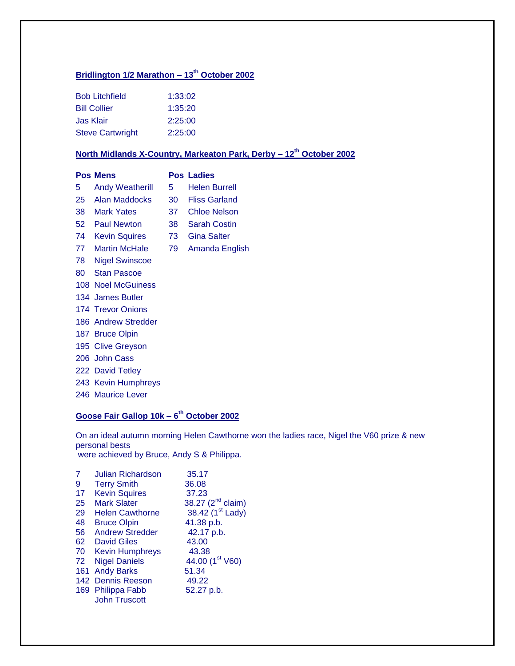# **Bridlington 1/2 Marathon – 13th October 2002**

| <b>Bob Litchfield</b>   | 1:33:02 |
|-------------------------|---------|
| <b>Bill Collier</b>     | 1:35:20 |
| Jas Klair               | 2:25:00 |
| <b>Steve Cartwright</b> | 2:25:00 |

# **North Midlands X-Country, Markeaton Park, Derby – 12th October 2002**

|      | <b>Pos Mens</b>          |      | <b>Pos Ladies</b>   |
|------|--------------------------|------|---------------------|
| 5    | <b>Andy Weatherill</b>   | 5.   | Helen Burrell       |
| 25   | Alan Maddocks            | 30 - | Fliss Garland       |
| 38   | <b>Mark Yates</b>        | 37   | <b>Chloe Nelson</b> |
| 52 - | <b>Paul Newton</b>       | 38   | <b>Sarah Costin</b> |
| 74   | <b>Kevin Squires</b>     | 73.  | Gina Salter         |
| 77   | <b>Martin McHale</b>     | 79   | Amanda English      |
| 78   | <b>Nigel Swinscoe</b>    |      |                     |
| 80   | <b>Stan Pascoe</b>       |      |                     |
|      | 108 Noel McGuiness       |      |                     |
|      | 134 James Butler         |      |                     |
|      | <b>174 Trevor Onions</b> |      |                     |
|      | 186 Andrew Stredder      |      |                     |
|      | 187 Bruce Olpin          |      |                     |
|      | 195 Clive Greyson        |      |                     |
|      | 206 John Cass            |      |                     |
|      | 222 David Tetley         |      |                     |
|      | 243 Kevin Humphreys      |      |                     |
|      | 246 Maurice Lever        |      |                     |

#### **Goose Fair Gallop 10k – 6 th October 2002**

On an ideal autumn morning Helen Cawthorne won the ladies race, Nigel the V60 prize & new personal bests were achieved by Bruce, Andy S & Philippa.

| 7   | Julian Richardson      | 35.17                        |
|-----|------------------------|------------------------------|
| 9   | <b>Terry Smith</b>     | 36.08                        |
| 17  | <b>Kevin Squires</b>   | 37.23                        |
| 25  | <b>Mark Slater</b>     | 38.27 $(2^{nd}$ claim)       |
| 29  | <b>Helen Cawthorne</b> | 38.42 (1 <sup>st</sup> Lady) |
| 48  | <b>Bruce Olpin</b>     | 41.38 p.b.                   |
| 56  | <b>Andrew Stredder</b> | 42.17 p.b.                   |
| 62  | David Giles            | 43.00                        |
| 70  | <b>Kevin Humphreys</b> | 43.38                        |
| 72  | <b>Nigel Daniels</b>   | 44.00 (1 <sup>st</sup> V60)  |
| 161 | <b>Andy Barks</b>      | 51.34                        |
|     | 142 Dennis Reeson      | 49.22                        |
|     | 169 Philippa Fabb      | 52.27 p.b.                   |
|     | <b>John Truscott</b>   |                              |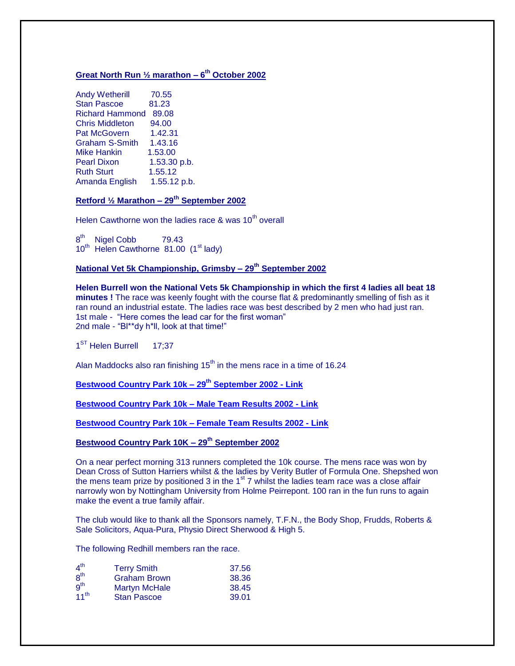#### **Great North Run ½ marathon – 6 th October 2002**

| <b>Andy Wetherill</b>  | 70.55        |
|------------------------|--------------|
| <b>Stan Pascoe</b>     | 81.23        |
| <b>Richard Hammond</b> | 89.08        |
| <b>Chris Middleton</b> | 94.00        |
| <b>Pat McGovern</b>    | 1.42.31      |
| <b>Graham S-Smith</b>  | 1.43.16      |
| <b>Mike Hankin</b>     | 1.53.00      |
| <b>Pearl Dixon</b>     | 1.53.30 p.b. |
| <b>Ruth Sturt</b>      | 1.55.12      |
| Amanda English         | 1.55.12 p.b. |
|                        |              |

### **Retford ½ Marathon – 29th September 2002**

Helen Cawthorne won the ladies race  $\&$  was 10<sup>th</sup> overall

8<sup>th</sup> Nigel Cobb 79.43  $10^{th}$  Helen Cawthorne  $81.00$  (1<sup>st</sup> lady)

#### **National Vet 5k Championship, Grimsby – 29th September 2002**

**Helen Burrell won the National Vets 5k Championship in which the first 4 ladies all beat 18 minutes !** The race was keenly fought with the course flat & predominantly smelling of fish as it ran round an industrial estate. The ladies race was best described by 2 men who had just ran. 1st male - "Here comes the lead car for the first woman" 2nd male - "Bl\*\*dy h\*ll, look at that time!"

1<sup>ST</sup> Helen Burrell 17;37

Alan Maddocks also ran finishing  $15<sup>th</sup>$  in the mens race in a time of 16.24

**[Bestwood Country Park 10k –](http://www.redhillroadrunners.freeserve.co.uk/BestwoodCPResults2002.htm) 29th September 2002 - Link**

**[Bestwood Country Park 10k –](http://www.redhillroadrunners.freeserve.co.uk/BestwoodCPMaleTeamResults2002.htm) Male Team Results 2002 - Link** 

**[Bestwood Country Park 10k –](http://www.redhillroadrunners.freeserve.co.uk/BestwoodCPFemaleTeamResults2002.htm) Female Team Results 2002 - Link**

**Bestwood Country Park 10K – 29th September 2002**

On a near perfect morning 313 runners completed the 10k course. The mens race was won by Dean Cross of Sutton Harriers whilst & the ladies by Verity Butler of Formula One. Shepshed won the mens team prize by positioned 3 in the  $1<sup>st</sup>$  7 whilst the ladies team race was a close affair narrowly won by Nottingham University from Holme Peirrepont. 100 ran in the fun runs to again make the event a true family affair.

The club would like to thank all the Sponsors namely, T.F.N., the Body Shop, Frudds, Roberts & Sale Solicitors, Aqua-Pura, Physio Direct Sherwood & High 5.

The following Redhill members ran the race.

| 4 <sup>th</sup>  | <b>Terry Smith</b>   | 37.56 |
|------------------|----------------------|-------|
| 8 <sup>th</sup>  | <b>Graham Brown</b>  | 38.36 |
| g <sup>th</sup>  | <b>Martyn McHale</b> | 38.45 |
| 11 <sup>th</sup> | <b>Stan Pascoe</b>   | 39.01 |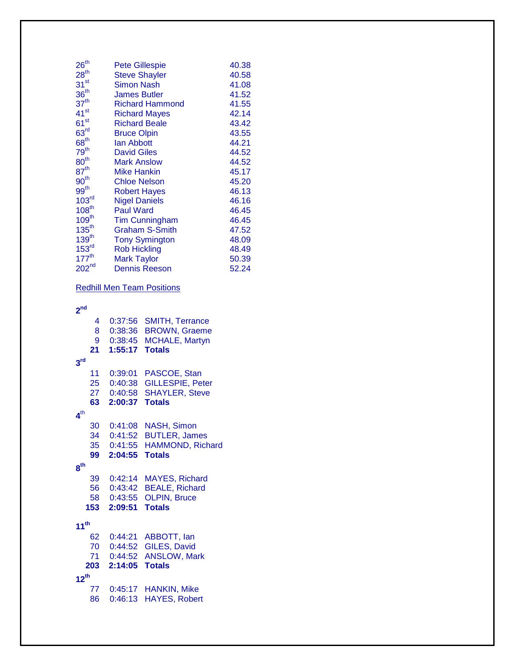|                        | 40.38          |
|------------------------|----------------|
| <b>Steve Shayler</b>   | 40.58          |
| <b>Simon Nash</b>      | 41.08          |
| <b>James Butler</b>    | 41.52          |
| <b>Richard Hammond</b> | 41.55          |
| <b>Richard Mayes</b>   | 42.14          |
| <b>Richard Beale</b>   | 43.42          |
| <b>Bruce Olpin</b>     | 43.55          |
| <b>lan Abbott</b>      | 44.21          |
| <b>David Giles</b>     | 44.52          |
| <b>Mark Anslow</b>     | 44.52          |
| Mike Hankin            | 45.17          |
| <b>Chloe Nelson</b>    | 45.20          |
| <b>Robert Hayes</b>    | 46.13          |
| <b>Nigel Daniels</b>   | 46.16          |
| <b>Paul Ward</b>       | 46.45          |
| <b>Tim Cunningham</b>  | 46.45          |
| Graham S-Smith         | 47.52          |
| <b>Tony Symington</b>  | 48.09          |
| <b>Rob Hickling</b>    | 48.49          |
| <b>Mark Taylor</b>     | 50.39          |
| <b>Dennis Reeson</b>   | 52.24          |
|                        | Pete Gillespie |

# Redhill Men Team Positions

#### **nd**

| 4<br>8           | 0:37:56<br>0:38:36 | <b>SMITH, Terrance</b><br><b>BROWN, Graeme</b> |
|------------------|--------------------|------------------------------------------------|
| 9                | 0:38:45            | MCHALE, Martyn                                 |
| 21               | 1:55:17            | <b>Totals</b>                                  |
| 3 <sup>rd</sup>  |                    |                                                |
| 11               | 0:39:01            | PASCOE, Stan                                   |
| 25               | 0:40:38            | <b>GILLESPIE, Peter</b>                        |
| 27               | 0:40:58            | <b>SHAYLER, Steve</b>                          |
| 63               | 2:00:37            | <b>Totals</b>                                  |
| 4 <sup>th</sup>  |                    |                                                |
| 30               | 0:41:08            | NASH, Simon                                    |
| 34               | 0:41:52            | <b>BUTLER, James</b>                           |
| 35               | 0:41:55            | HAMMOND, Richard                               |
| 99               | 2:04:55            | <b>Totals</b>                                  |
| 8 <sup>th</sup>  |                    |                                                |
| 39               | 0:42:14            | <b>MAYES, Richard</b>                          |
| 56               | 0:43:42            | <b>BEALE, Richard</b>                          |
| 58               | 0:43:55            | <b>OLPIN, Bruce</b>                            |
| 153              | 2:09:51            | <b>Totals</b>                                  |
| 11 <sup>th</sup> |                    |                                                |
| 62               | 0:44:21            | ABBOTT, lan                                    |
| 70               | 0:44:52            | GILES, David                                   |
| 71               | 0:44:52            | <b>ANSLOW, Mark</b>                            |
| 203              | 2:14:05            | <b>Totals</b>                                  |
| $12^{th}$        |                    |                                                |
| 77               | 0:45:17            | HANKIN, Mike                                   |
| 86               | 0:46:13            | <b>HAYES, Robert</b>                           |
|                  |                    |                                                |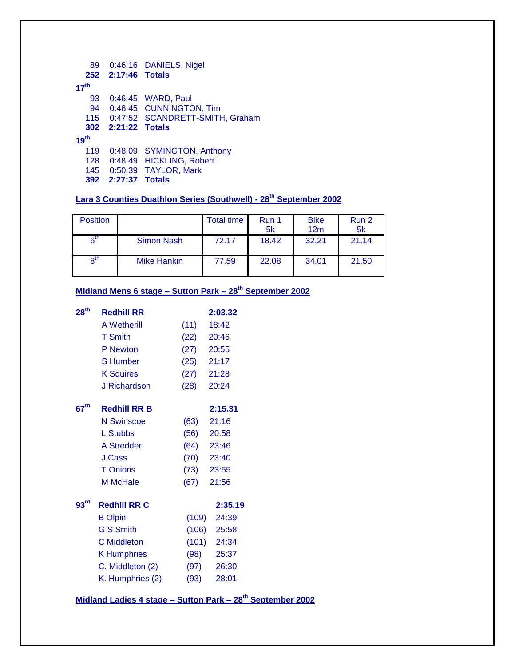| 89               |                    | 0:46:16 DANIELS, Nigel              |
|------------------|--------------------|-------------------------------------|
|                  | 252 2:17:46 Totals |                                     |
| 17 <sup>th</sup> |                    |                                     |
| 93               |                    | 0:46:45 WARD, Paul                  |
| 94               |                    | 0:46:45 CUNNINGTON, Tim             |
|                  |                    | 115 0:47:52 SCANDRETT-SMITH, Graham |
|                  |                    |                                     |
|                  | 302 2:21:22 Totals |                                     |
| 19 <sup>th</sup> |                    |                                     |
| 119              |                    | 0:48:09 SYMINGTON, Anthony          |
|                  |                    | 128 0:48:49 HICKLING, Robert        |
| 145              |                    | 0:50:39 TAYLOR, Mark                |

# **Lara 3 Counties Duathlon Series (Southwell) - 28th September 2002**

| <b>Position</b> |             | <b>Total time</b> | Run 1<br>5k | <b>Bike</b><br>12m | Run 2<br>5k |
|-----------------|-------------|-------------------|-------------|--------------------|-------------|
| 6 <sup>th</sup> | Simon Nash  | 72.17             | 18.42       | 32.21              | 21.14       |
| $R^{\text{th}}$ | Mike Hankin | 77.59             | 22.08       | 34.01              | 21.50       |

# **Midland Mens 6 stage – Sutton Park – 28th September 2002**

| 28 <sup>th</sup> | <b>Redhill RR</b>   |              | 2:03.32       |
|------------------|---------------------|--------------|---------------|
|                  | <b>A Wetherill</b>  | (11)         | 18:42         |
|                  | <b>T</b> Smith      | (22)         | 20:46         |
|                  | P Newton            | $(27)$ 20:55 |               |
|                  | <b>S</b> Humber     | (25)         | 21:17         |
|                  | <b>K Squires</b>    | $(27)$ 21:28 |               |
|                  | J Richardson        | (28)         | 20:24         |
| 67 <sup>th</sup> | <b>Redhill RR B</b> |              | 2:15.31       |
|                  | <b>N</b> Swinscoe   | (63)         | 21:16         |
|                  | L Stubbs            | (56)         | 20:58         |
|                  | A Stredder          | (64)         | 23:46         |
|                  | J Cass              |              | $(70)$ 23:40  |
|                  | <b>T</b> Onions     | (73)         | 23:55         |
|                  | M McHale            | (67)         | 21:56         |
| 93 <sup>rd</sup> | <b>Redhill RR C</b> |              | 2:35.19       |
|                  | <b>B</b> Olpin      | (109)        | 24:39         |
|                  | <b>G S Smith</b>    |              | $(106)$ 25:58 |
|                  | <b>C</b> Middleton  |              | $(101)$ 24:34 |
|                  | <b>K</b> Humphries  |              | $(98)$ 25:37  |
|                  | C. Middleton (2)    | (97)         | 26:30         |
|                  | K. Humphries (2)    | (93)         | 28:01         |
|                  |                     |              |               |

**Midland Ladies 4 stage – Sutton Park – 28th September 2002**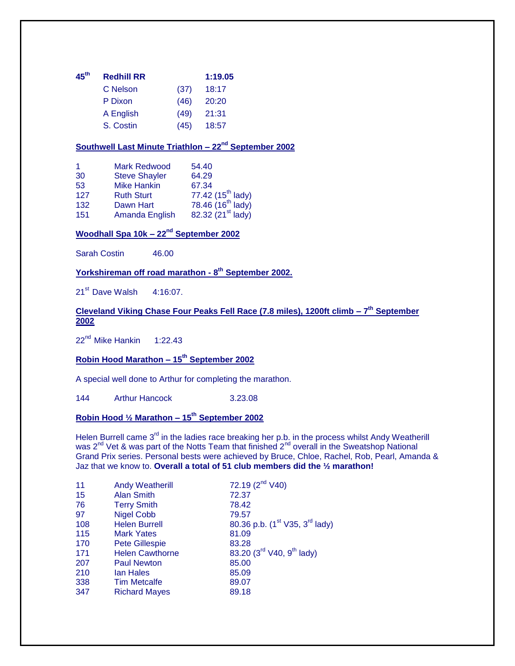| $45^{\sf th}$ | <b>Redhill RR</b> | 1:19.05 |       |  |
|---------------|-------------------|---------|-------|--|
|               | C Nelson          | (37)    | 18:17 |  |
|               | P Dixon           | (46)    | 20:20 |  |
|               | A English         | (49)    | 21:31 |  |
|               | S. Costin         | (45)    | 18:57 |  |

### **Southwell Last Minute Triathlon – 22nd September 2002**

| <b>Mark Redwood</b>  | 54.40                                                          |
|----------------------|----------------------------------------------------------------|
| <b>Steve Shayler</b> | 64.29                                                          |
| <b>Mike Hankin</b>   | 67.34                                                          |
| <b>Ruth Sturt</b>    | 77.42 (15 <sup>th</sup> lady)<br>78.46 (16 <sup>th</sup> lady) |
| Dawn Hart            |                                                                |
| Amanda English       | 82.32 (21 <sup>st</sup> lady)                                  |
|                      |                                                                |

# **Woodhall Spa 10k – 22nd September 2002**

Sarah Costin 46.00

#### **Yorkshireman off road marathon - 8 th September 2002.**

21<sup>st</sup> Dave Walsh 4:16:07.

#### **Cleveland Viking Chase Four Peaks Fell Race (7.8 miles), 1200ft climb – 7 th September 2002**

22<sup>nd</sup> Mike Hankin 1:22.43

# **Robin Hood Marathon – 15th September 2002**

A special well done to Arthur for completing the marathon.

144 Arthur Hancock 3.23.08

# **Robin Hood ½ Marathon – 15th September 2002**

Helen Burrell came 3<sup>rd</sup> in the ladies race breaking her p.b. in the process whilst Andy Weatherill was 2<sup>nd</sup> Vet & was part of the Notts Team that finished 2<sup>nd</sup> overall in the Sweatshop National Grand Prix series. Personal bests were achieved by Bruce, Chloe, Rachel, Rob, Pearl, Amanda & Jaz that we know to. **Overall a total of 51 club members did the ½ marathon!**

| 11  | <b>Andy Weatherill</b> | 72.19 $(2^{nd} V40)$                                   |
|-----|------------------------|--------------------------------------------------------|
| 15  | <b>Alan Smith</b>      | 72.37                                                  |
| 76  | <b>Terry Smith</b>     | 78.42                                                  |
| 97  | <b>Nigel Cobb</b>      | 79.57                                                  |
| 108 | <b>Helen Burrell</b>   | 80.36 p.b. (1 <sup>st</sup> V35, 3 <sup>rd</sup> lady) |
| 115 | <b>Mark Yates</b>      | 81.09                                                  |
| 170 | <b>Pete Gillespie</b>  | 83.28                                                  |
| 171 | <b>Helen Cawthorne</b> | 83.20 (3 <sup>rd</sup> V40, 9 <sup>th</sup> lady)      |
| 207 | <b>Paul Newton</b>     | 85.00                                                  |
| 210 | lan Hales              | 85.09                                                  |
| 338 | <b>Tim Metcalfe</b>    | 89.07                                                  |
| 347 | <b>Richard Mayes</b>   | 89.18                                                  |
|     |                        |                                                        |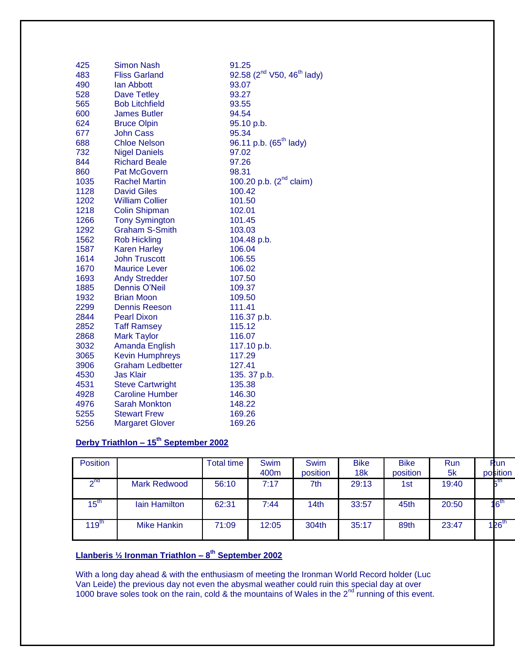| 425  | <b>Simon Nash</b>       | 91.25                                              |
|------|-------------------------|----------------------------------------------------|
| 483  | <b>Fliss Garland</b>    | 92.58 (2 <sup>nd</sup> V50, 46 <sup>th</sup> lady) |
| 490  | lan Abbott              | 93.07                                              |
| 528  | <b>Dave Tetley</b>      | 93.27                                              |
| 565  | <b>Bob Litchfield</b>   | 93.55                                              |
| 600  | <b>James Butler</b>     | 94.54                                              |
| 624  | <b>Bruce Olpin</b>      | 95.10 p.b.                                         |
| 677  | <b>John Cass</b>        | 95.34                                              |
| 688  | <b>Chloe Nelson</b>     | 96.11 p.b. (65 <sup>th</sup> lady)                 |
| 732  | <b>Nigel Daniels</b>    | 97.02                                              |
| 844  | <b>Richard Beale</b>    | 97.26                                              |
| 860  | <b>Pat McGovern</b>     | 98.31                                              |
| 1035 | <b>Rachel Martin</b>    | 100.20 p.b. (2 <sup>nd</sup> claim)                |
| 1128 | <b>David Giles</b>      | 100.42                                             |
| 1202 | <b>William Collier</b>  | 101.50                                             |
| 1218 | <b>Colin Shipman</b>    | 102.01                                             |
| 1266 | <b>Tony Symington</b>   | 101.45                                             |
| 1292 | <b>Graham S-Smith</b>   | 103.03                                             |
| 1562 | <b>Rob Hickling</b>     | 104.48 p.b.                                        |
| 1587 | <b>Karen Harley</b>     | 106.04                                             |
| 1614 | <b>John Truscott</b>    | 106.55                                             |
| 1670 | <b>Maurice Lever</b>    | 106.02                                             |
| 1693 | <b>Andy Stredder</b>    | 107.50                                             |
| 1885 | Dennis O'Neil           | 109.37                                             |
| 1932 | <b>Brian Moon</b>       | 109.50                                             |
| 2299 | <b>Dennis Reeson</b>    | 111.41                                             |
| 2844 | <b>Pearl Dixon</b>      | 116.37 p.b.                                        |
| 2852 | <b>Taff Ramsey</b>      | 115.12                                             |
| 2868 | <b>Mark Taylor</b>      | 116.07                                             |
| 3032 | Amanda English          | 117.10 p.b.                                        |
| 3065 | <b>Kevin Humphreys</b>  | 117.29                                             |
| 3906 | <b>Graham Ledbetter</b> | 127.41                                             |
| 4530 | <b>Jas Klair</b>        | 135. 37 p.b.                                       |
| 4531 | <b>Steve Cartwright</b> | 135.38                                             |
| 4928 | <b>Caroline Humber</b>  | 146.30                                             |
| 4976 | <b>Sarah Monkton</b>    | 148.22                                             |
| 5255 | <b>Stewart Frew</b>     | 169.26                                             |
| 5256 | <b>Margaret Glover</b>  | 169.26                                             |
|      |                         |                                                    |

# **Derby Triathlon – 15th September 2002**

| <b>Position</b>  |                      | <b>Total time</b> | <b>Swim</b>      | <b>Swim</b>      | <b>Bike</b> | <b>Bike</b> | Run   | Run               |
|------------------|----------------------|-------------------|------------------|------------------|-------------|-------------|-------|-------------------|
|                  |                      |                   | 400 <sub>m</sub> | position         | 18k         | position    | 5k    | position          |
| 2 <sub>nd</sub>  | <b>Mark Redwood</b>  | 56:10             | 7:17             | 7th              | 29:13       | 1st         | 19:40 | ⊩th               |
| $15^{\text{th}}$ | <b>lain Hamilton</b> | 62:31             | 7:44             | 14 <sub>th</sub> | 33:57       | 45th        | 20:50 | $16^{th}$         |
| 119 $^{\sf th}$  | Mike Hankin          | 71:09             | 12:05            | 304th            | 35:17       | 89th        | 23:47 | 126 <sup>th</sup> |

### **Llanberis ½ Ironman Triathlon – 8 th September 2002**

With a long day ahead & with the enthusiasm of meeting the Ironman World Record holder (Luc Van Leide) the previous day not even the abysmal weather could ruin this special day at over 1000 brave soles took on the rain, cold & the mountains of Wales in the  $2<sup>nd</sup>$  running of this event.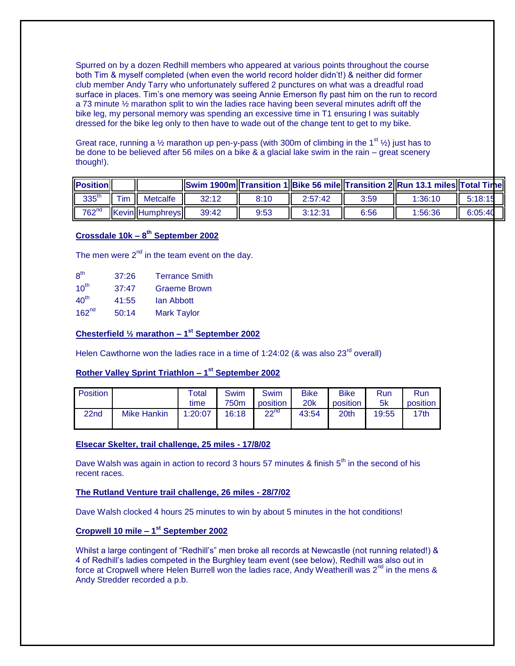Spurred on by a dozen Redhill members who appeared at various points throughout the course both Tim & myself completed (when even the world record holder didn't!) & neither did former club member Andy Tarry who unfortunately suffered 2 punctures on what was a dreadful road surface in places. Tim's one memory was seeing Annie Emerson fly past him on the run to record a 73 minute ½ marathon split to win the ladies race having been several minutes adrift off the bike leg, my personal memory was spending an excessive time in T1 ensuring I was suitably dressed for the bike leg only to then have to wade out of the change tent to get to my bike.

Great race, running a  $\frac{1}{2}$  marathon up pen-y-pass (with 300m of climbing in the 1<sup>st</sup>  $\frac{1}{2}$ ) just has to be done to be believed after 56 miles on a bike & a glacial lake swim in the rain – great scenery though!).

| <b>Position</b>   |           |                        |       |      |         |      | <b>Swim 1900m Transition 1 Bike 56 mile Transition 2 Run 13.1 miles Total Time</b> |         |
|-------------------|-----------|------------------------|-------|------|---------|------|------------------------------------------------------------------------------------|---------|
| 335 <sup>th</sup> | $\tau$ im | <b>Metcalfe</b>        | 32:12 | 8:10 | 2:57:42 | 3:59 | 1:36:10                                                                            | 5:18:15 |
| $762^{nd}$        |           | <b>Kevin Humphreys</b> | 39:42 | 9:53 | 2.12.21 | 6:56 | 1:56:36                                                                            | 6:05:40 |

#### **Crossdale 10k – 8 th September 2002**

The men were  $2<sup>nd</sup>$  in the team event on the day.

| 8 <sup>th</sup>   | 37:26 | <b>Terrance Smith</b> |
|-------------------|-------|-----------------------|
| $10^{th}$         | 37:47 | Graeme Brown          |
| 40 <sup>th</sup>  | 41:55 | lan Abbott            |
| 162 <sup>nd</sup> | 50:14 | <b>Mark Taylor</b>    |

#### **Chesterfield ½ marathon – 1 st September 2002**

Helen Cawthorne won the ladies race in a time of 1:24:02 (& was also  $23<sup>rd</sup>$  overall)

### **Rother Valley Sprint Triathlon – 1 st September 2002**

| <b>Position</b>  |             | Total   | Swim             | <b>Swim</b>      | <b>Bike</b> | <b>Bike</b>      | <b>Run</b> | <b>Run</b> |
|------------------|-------------|---------|------------------|------------------|-------------|------------------|------------|------------|
|                  |             | time    | 750 <sub>m</sub> | position         | <b>20k</b>  | position         | 5k         | position   |
| 22 <sub>nd</sub> | Mike Hankin | 1:20:07 | 16:18            | 22 <sup>nd</sup> | 43:54       | 20 <sup>th</sup> | 19:55      | 17th       |

#### **Elsecar Skelter, trail challenge, 25 miles - 17/8/02**

Dave Walsh was again in action to record 3 hours 57 minutes  $\&$  finish  $5<sup>th</sup>$  in the second of his recent races.

#### **The Rutland Venture trail challenge, 26 miles - 28/7/02**

Dave Walsh clocked 4 hours 25 minutes to win by about 5 minutes in the hot conditions!

#### **Cropwell 10 mile – 1 st September 2002**

Whilst a large contingent of "Redhill's" men broke all records at Newcastle (not running related!) & 4 of Redhill's ladies competed in the Burghley team event (see below), Redhill was also out in force at Cropwell where Helen Burrell won the ladies race, Andy Weatherill was  $2^{nd}$  in the mens & Andy Stredder recorded a p.b.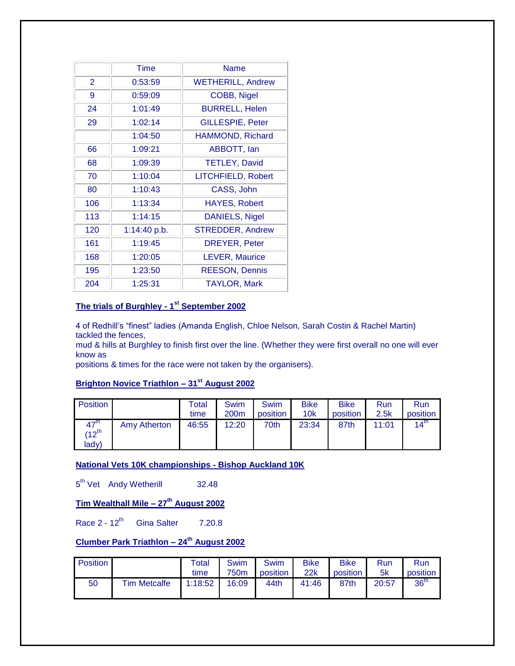|                | Time         | Name                     |
|----------------|--------------|--------------------------|
| $\overline{2}$ | 0:53:59      | <b>WETHERILL, Andrew</b> |
| 9              | 0:59:09      | COBB, Nigel              |
| 24             | 1:01:49      | <b>BURRELL, Helen</b>    |
| 29             | 1:02:14      | <b>GILLESPIE, Peter</b>  |
|                | 1:04:50      | HAMMOND, Richard         |
| 66             | 1:09:21      | ABBOTT, lan              |
| 68             | 1:09:39      | <b>TETLEY, David</b>     |
| 70             | 1:10:04      | LITCHFIELD, Robert       |
| 80             | 1:10:43      | CASS, John               |
| 106            | 1:13:34      | <b>HAYES, Robert</b>     |
| 113            | 1:14:15      | DANIELS, Nigel           |
| 120            | 1:14:40 p.b. | <b>STREDDER, Andrew</b>  |
| 161            | 1:19:45      | <b>DREYER, Peter</b>     |
| 168            | 1:20:05      | <b>LEVER, Maurice</b>    |
| 195            | 1:23:50      | <b>REESON, Dennis</b>    |
| 204            | 1:25:31      | <b>TAYLOR, Mark</b>      |

#### **The trials of Burghley - 1 st September 2002**

4 of Redhill's "finest" ladies (Amanda English, Chloe Nelson, Sarah Costin & Rachel Martin) tackled the fences,

mud & hills at Burghley to finish first over the line. (Whether they were first overall no one will ever know as

positions & times for the race were not taken by the organisers).

# **Brighton Novice Triathlon – 31st August 2002**

| <b>Position</b>                                |              | Total<br>time | Swim<br>200 <sub>m</sub> | Swim<br>position | <b>Bike</b><br>10k | <b>Bike</b><br>position | <b>Run</b><br>2.5k | Run<br>position  |
|------------------------------------------------|--------------|---------------|--------------------------|------------------|--------------------|-------------------------|--------------------|------------------|
| $47^{\text{th}}$<br>$(12^{\text{th}}$<br>lady) | Amy Atherton | 46:55         | 12:20                    | 70th             | 23:34              | 87th                    | 11:01              | $14^{\text{th}}$ |

**National Vets 10K championships - Bishop Auckland 10K**

5<sup>th</sup> Vet Andy Wetherill 32.48

# **Tim Wealthall Mile – 27th August 2002**

Race  $2 - 12^{th}$  Gina Salter 7.20.8

# **Clumber Park Triathlon – 24th August 2002**

| <b>Position</b> |                     | Total<br>time | <b>Swim</b><br>750m | <b>Swim</b><br>position | Bike<br>22k | <b>Bike</b><br>position | Run<br>5k | <b>Run</b><br>position |
|-----------------|---------------------|---------------|---------------------|-------------------------|-------------|-------------------------|-----------|------------------------|
| 50              | <b>Tim Metcalfe</b> | 1:18:52       | 16:09               | 44th                    | 41:46       | 87th                    | 20:57     | 36 <sup>th</sup>       |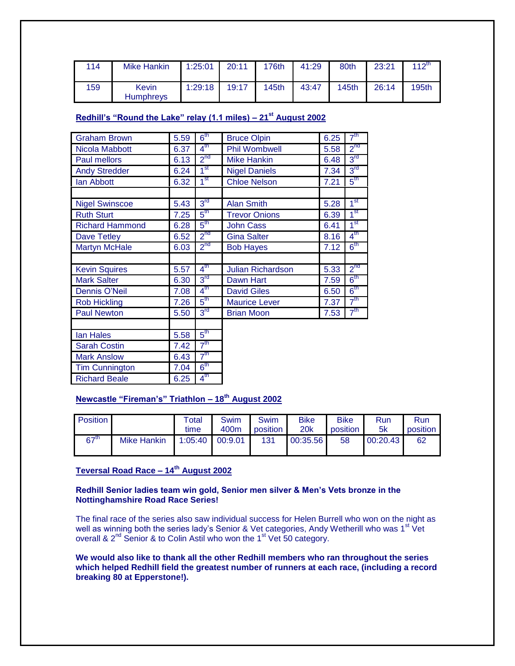| 114 | <b>Mike Hankin</b>        | 1:25:01 | 20:11 | 176th | 41:29 | 80th         | 23:21 | $112^{th}$ |
|-----|---------------------------|---------|-------|-------|-------|--------------|-------|------------|
| 159 | Kevin<br><b>Humphreys</b> | 1:29:18 | 19:17 | 145th | 43:47 | <b>145th</b> | 26:14 | 195th      |

# **Redhill's "Round the Lake" relay (1.1 miles) – 21st August 2002**

| <b>Graham Brown</b>    | 5.59 | 6 <sup>th</sup>   | <b>Bruce Olpin</b>       | 6.25 | 7 <sup>th</sup> |
|------------------------|------|-------------------|--------------------------|------|-----------------|
| Nicola Mabbott         | 6.37 | $4^{\text{th}}$   | <b>Phil Wombwell</b>     | 5.58 | 2 <sup>nd</sup> |
| <b>Paul mellors</b>    | 6.13 | $2^{nd}$          | <b>Mike Hankin</b>       | 6.48 | $3^{\text{rd}}$ |
| <b>Andy Stredder</b>   | 6.24 | 1 <sup>st</sup>   | <b>Nigel Daniels</b>     | 7.34 | 3 <sup>rd</sup> |
| lan Abbott             | 6.32 | 1 <sup>st</sup>   | <b>Chloe Nelson</b>      | 7.21 | $5^{\text{th}}$ |
|                        |      |                   |                          |      |                 |
| <b>Nigel Swinscoe</b>  | 5.43 | 3 <sup>rd</sup>   | <b>Alan Smith</b>        | 5.28 | 1 <sup>st</sup> |
| <b>Ruth Sturt</b>      | 7.25 | $5^{\sf th}$      | <b>Trevor Onions</b>     | 6.39 | $1^{\rm st}$    |
| <b>Richard Hammond</b> | 6.28 | $5^{\text{th}}$   | <b>John Cass</b>         | 6.41 | 1 <sup>st</sup> |
| Dave Tetley            | 6.52 | 2 <sup>nd</sup>   | <b>Gina Salter</b>       | 8.16 | $4^{\text{th}}$ |
| <b>Martyn McHale</b>   | 6.03 | $2^{nd}$          | <b>Bob Hayes</b>         | 7.12 | $6^{\sf th}$    |
|                        |      |                   |                          |      |                 |
| <b>Kevin Squires</b>   | 5.57 | $4^{\text{th}}$   | <b>Julian Richardson</b> | 5.33 | 2 <sub>nd</sub> |
| <b>Mark Salter</b>     | 6.30 | 3 <sup>rd</sup>   | Dawn Hart                | 7.59 | 6 <sup>th</sup> |
| Dennis O'Neil          | 7.08 | 4 <sup>th</sup>   | <b>David Giles</b>       | 6.50 | 6 <sup>th</sup> |
| <b>Rob Hickling</b>    | 7.26 | $5^{\mathsf{th}}$ | <b>Maurice Lever</b>     | 7.37 | 7 <sup>th</sup> |
| <b>Paul Newton</b>     | 5.50 | 3 <sup>rd</sup>   | <b>Brian Moon</b>        | 7.53 | 7 <sup>th</sup> |
|                        |      |                   |                          |      |                 |
| lan Hales              | 5.58 | $5^{\text{th}}$   |                          |      |                 |
| <b>Sarah Costin</b>    | 7.42 | 7 <sup>th</sup>   |                          |      |                 |
| <b>Mark Anslow</b>     | 6.43 | 7 <sup>th</sup>   |                          |      |                 |
| <b>Tim Cunnington</b>  | 7.04 | $6^{\sf th}$      |                          |      |                 |
| <b>Richard Beale</b>   | 6.25 | $4^{\sf th}$      |                          |      |                 |

# **Newcastle "Fireman's" Triathlon – 18th August 2002**

| <b>Position</b>  |                    | Total | <b>Swim</b>       | Swim     | <b>Bike</b> | <b>Bike</b> | Run      | Run      |
|------------------|--------------------|-------|-------------------|----------|-------------|-------------|----------|----------|
|                  |                    | time  | 400m              | position | <b>20k</b>  | position    | 5k       | position |
| 67 <sup>th</sup> | <b>Mike Hankin</b> |       | $1:05:40$ 00:9.01 | 131      | 00:35.56    | 58          | 00:20.43 | 62       |

# **Teversal Road Race – 14th August 2002**

#### **Redhill Senior ladies team win gold, Senior men silver & Men's Vets bronze in the Nottinghamshire Road Race Series!**

The final race of the series also saw individual success for Helen Burrell who won on the night as well as winning both the series lady's Senior & Vet categories, Andy Wetherill who was 1<sup>st</sup> Vet overall & 2<sup>nd</sup> Senior & to Colin Astil who won the 1<sup>st</sup> Vet 50 category.

**We would also like to thank all the other Redhill members who ran throughout the series which helped Redhill field the greatest number of runners at each race, (including a record breaking 80 at Epperstone!).**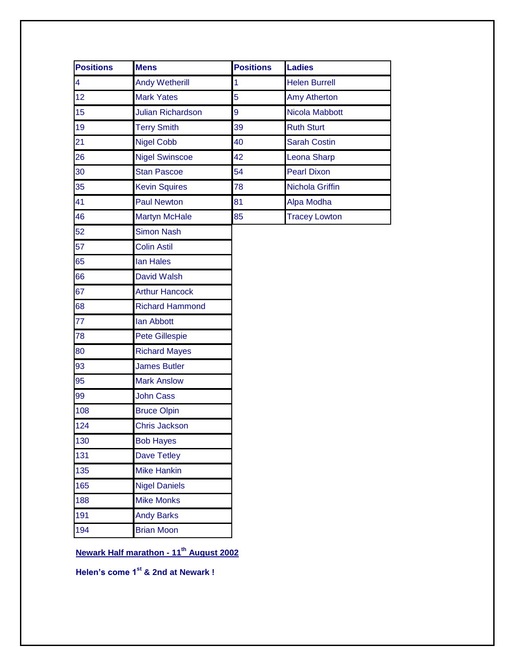| <b>Positions</b>        | <b>Mens</b>              | <b>Positions</b> | <b>Ladies</b>        |
|-------------------------|--------------------------|------------------|----------------------|
| $\overline{\mathbf{4}}$ | <b>Andy Wetherill</b>    | 1                | <b>Helen Burrell</b> |
| 12                      | <b>Mark Yates</b>        | 5                | <b>Amy Atherton</b>  |
| 15                      | <b>Julian Richardson</b> | 9                | Nicola Mabbott       |
| 19                      | <b>Terry Smith</b>       | 39               | <b>Ruth Sturt</b>    |
| 21                      | <b>Nigel Cobb</b>        | 40               | <b>Sarah Costin</b>  |
| 26                      | <b>Nigel Swinscoe</b>    | 42               | Leona Sharp          |
| 30                      | <b>Stan Pascoe</b>       | 54               | <b>Pearl Dixon</b>   |
| 35                      | <b>Kevin Squires</b>     | 78               | Nichola Griffin      |
| 41                      | <b>Paul Newton</b>       | 81               | Alpa Modha           |
| 46                      | <b>Martyn McHale</b>     | 85               | <b>Tracey Lowton</b> |
| 52                      | <b>Simon Nash</b>        |                  |                      |
| 57                      | <b>Colin Astil</b>       |                  |                      |
| 65                      | lan Hales                |                  |                      |
| 66                      | David Walsh              |                  |                      |
| 67                      | <b>Arthur Hancock</b>    |                  |                      |
| 68                      | <b>Richard Hammond</b>   |                  |                      |
| 77                      | lan Abbott               |                  |                      |
| 78                      | <b>Pete Gillespie</b>    |                  |                      |
| 80                      | <b>Richard Mayes</b>     |                  |                      |
| 93                      | <b>James Butler</b>      |                  |                      |
| 95                      | <b>Mark Anslow</b>       |                  |                      |
| 99                      | <b>John Cass</b>         |                  |                      |
| 108                     | <b>Bruce Olpin</b>       |                  |                      |
| 124                     | <b>Chris Jackson</b>     |                  |                      |
| 130                     | <b>Bob Hayes</b>         |                  |                      |
| 131                     | <b>Dave Tetley</b>       |                  |                      |
| 135                     | <b>Mike Hankin</b>       |                  |                      |
| 165                     | <b>Nigel Daniels</b>     |                  |                      |
| 188                     | <b>Mike Monks</b>        |                  |                      |
| 191                     | <b>Andy Barks</b>        |                  |                      |
| 194                     | <b>Brian Moon</b>        |                  |                      |

**Newark Half marathon - 11th August 2002**

**Helen's come 1st & 2nd at Newark !**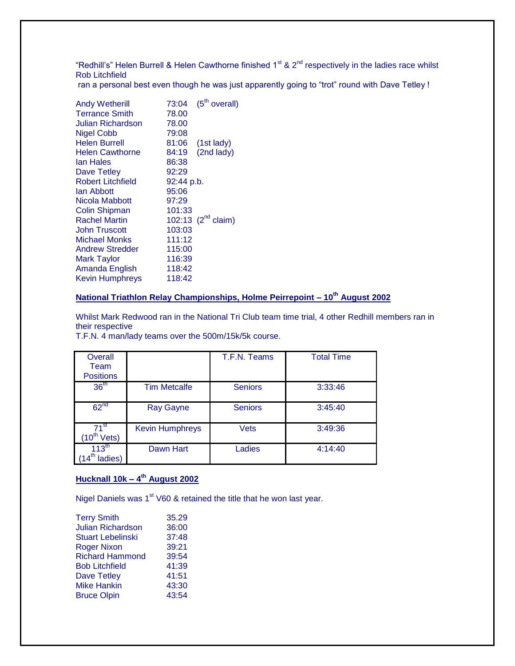"Redhill's" Helen Burrell & Helen Cawthorne finished  $1<sup>st</sup>$  &  $2<sup>nd</sup>$  respectively in the ladies race whilst Rob Litchfield

ran a personal best even though he was just apparently going to "trot" round with Dave Tetley !

| <b>Andy Wetherill</b>  | 73:04      | (5 <sup>th</sup> overall) |
|------------------------|------------|---------------------------|
| <b>Terrance Smith</b>  | 78.00      |                           |
| Julian Richardson      | 78.00      |                           |
| <b>Nigel Cobb</b>      | 79:08      |                           |
| <b>Helen Burrell</b>   | 81:06      | $(1st$ lady)              |
| <b>Helen Cawthorne</b> | 84:19      | (2nd lady)                |
| lan Hales              | 86:38      |                           |
| Dave Tetley            | 92:29      |                           |
| Robert Litchfield      | 92:44 p.b. |                           |
| lan Abbott             | 95:06      |                           |
| Nicola Mabbott         | 97:29      |                           |
| <b>Colin Shipman</b>   | 101:33     |                           |
| <b>Rachel Martin</b>   |            | 102:13 $(2^{nd}$ claim)   |
| John Truscott          | 103:03     |                           |
| Michael Monks          | 111:12     |                           |
| <b>Andrew Stredder</b> | 115:00     |                           |
| Mark Taylor            | 116:39     |                           |
| Amanda English         | 118:42     |                           |
| <b>Kevin Humphreys</b> | 118:42     |                           |
|                        |            |                           |

#### **National Triathlon Relay Championships, Holme Peirrepoint – 10th August 2002**

Whilst Mark Redwood ran in the National Tri Club team time trial, 4 other Redhill members ran in their respective

T.F.N. 4 man/lady teams over the 500m/15k/5k course.

| Overall<br>Team<br><b>Positions</b> |                        | T.F.N. Teams   | <b>Total Time</b> |
|-------------------------------------|------------------------|----------------|-------------------|
| 36 <sup>th</sup>                    | <b>Tim Metcalfe</b>    | <b>Seniors</b> | 3:33:46           |
| 62 <sup>nd</sup>                    | <b>Ray Gayne</b>       | <b>Seniors</b> | 3:45:40           |
| $71^{\rm st}$<br>Vets)              | <b>Kevin Humphreys</b> | <b>Vets</b>    | 3:49:36           |
| $113^{\text{th}}$<br>ladies)        | Dawn Hart              | Ladies         | 4:14:40           |

#### **Hucknall 10k – 4 th August 2002**

Nigel Daniels was 1<sup>st</sup> V60 & retained the title that he won last year.

| <b>Terry Smith</b>       | 35.29 |
|--------------------------|-------|
| <b>Julian Richardson</b> | 36:00 |
| <b>Stuart Lebelinski</b> | 37:48 |
| <b>Roger Nixon</b>       | 39:21 |
| <b>Richard Hammond</b>   | 39:54 |
| <b>Bob Litchfield</b>    | 41:39 |
| <b>Dave Tetley</b>       | 41:51 |
| <b>Mike Hankin</b>       | 43:30 |
| <b>Bruce Olpin</b>       | 43:54 |
|                          |       |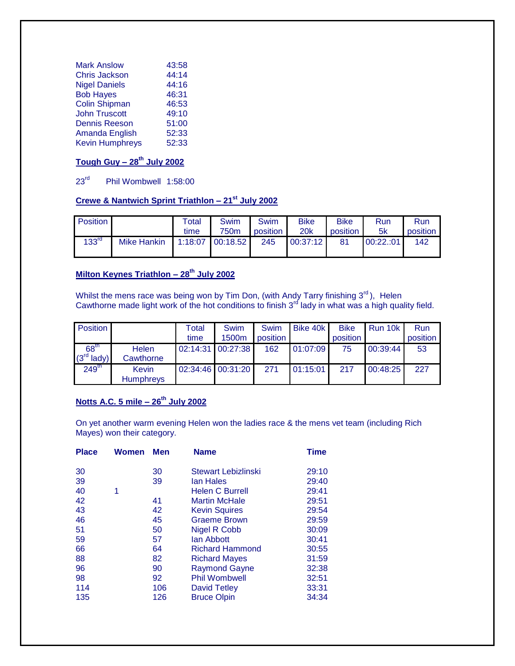| <b>Mark Anslow</b>     | 43:58 |
|------------------------|-------|
| <b>Chris Jackson</b>   | 44:14 |
| <b>Nigel Daniels</b>   | 44:16 |
| <b>Bob Hayes</b>       | 46:31 |
| <b>Colin Shipman</b>   | 46:53 |
| <b>John Truscott</b>   | 49:10 |
| <b>Dennis Reeson</b>   | 51:00 |
| Amanda English         | 52:33 |
| <b>Kevin Humphreys</b> | 52:33 |
|                        |       |

# **Tough Guy – 28th July 2002**

# 23rd Phil Wombwell 1:58:00

# **Crewe & Nantwich Sprint Triathlon – 21st July 2002**

| <b>Position</b>   |                    | <b>Total</b><br>time | Swim<br>750m           | Swim<br><b>position</b> | <b>Bike</b><br><b>20k</b> | <b>Bike</b><br>position | <b>Run</b><br>5k | <b>Run</b><br>position |
|-------------------|--------------------|----------------------|------------------------|-------------------------|---------------------------|-------------------------|------------------|------------------------|
| 133 <sup>rd</sup> | <b>Mike Hankin</b> |                      | $1:18:07$ 00:18.52 245 |                         | 00:37:12                  | 81                      | 00:22:01         | 142                    |

# **Milton Keynes Triathlon – 28th July 2002**

Whilst the mens race was being won by Tim Don, (with Andy Tarry finishing  $3<sup>rd</sup>$ ), Helen Cawthorne made light work of the hot conditions to finish  $3<sup>rd</sup>$  lady in what was a high quality field.

| <b>Position</b>   |                                  | Total<br>time | Swim<br>1500m     | Swim<br>position | Bike 40k | <b>Bike</b><br>position | Run 10k  | Run<br>position |
|-------------------|----------------------------------|---------------|-------------------|------------------|----------|-------------------------|----------|-----------------|
| 68 <sup>th</sup>  |                                  |               | 02:14:31 00:27:38 | 162              | 01:07:09 |                         |          |                 |
| $(3rd$ lady)      | <b>Helen</b><br>Cawthorne        |               |                   |                  |          | 75                      | 00:39:44 | 53              |
| 249 <sup>th</sup> | <b>Kevin</b><br><b>Humphreys</b> |               | 02:34:46 00:31:20 | 271              | 01:15:01 | 217                     | 00:48:25 | 227             |

# **Notts A.C. 5 mile – 26th July 2002**

On yet another warm evening Helen won the ladies race & the mens vet team (including Rich Mayes) won their category.

| <b>Place</b> | Women | <b>Men</b> | <b>Name</b>            | <b>Time</b> |
|--------------|-------|------------|------------------------|-------------|
| 30           |       | 30         | Stewart Lebizlinski    | 29:10       |
| 39           |       | 39         | lan Hales              | 29:40       |
| 40           | 1     |            | <b>Helen C Burrell</b> | 29:41       |
| 42           |       | 41         | <b>Martin McHale</b>   | 29:51       |
| 43           |       | 42         | <b>Kevin Squires</b>   | 29:54       |
| 46           |       | 45         | <b>Graeme Brown</b>    | 29:59       |
| 51           |       | 50         | <b>Nigel R Cobb</b>    | 30:09       |
| 59           |       | 57         | lan Abbott             | 30:41       |
| 66           |       | 64         | <b>Richard Hammond</b> | 30:55       |
| 88           |       | 82         | <b>Richard Mayes</b>   | 31:59       |
| 96           |       | 90         | <b>Raymond Gayne</b>   | 32:38       |
| 98           |       | 92         | <b>Phil Wombwell</b>   | 32:51       |
| 114          |       | 106        | David Tetley           | 33:31       |
| 135          |       | 126        | <b>Bruce Olpin</b>     | 34:34       |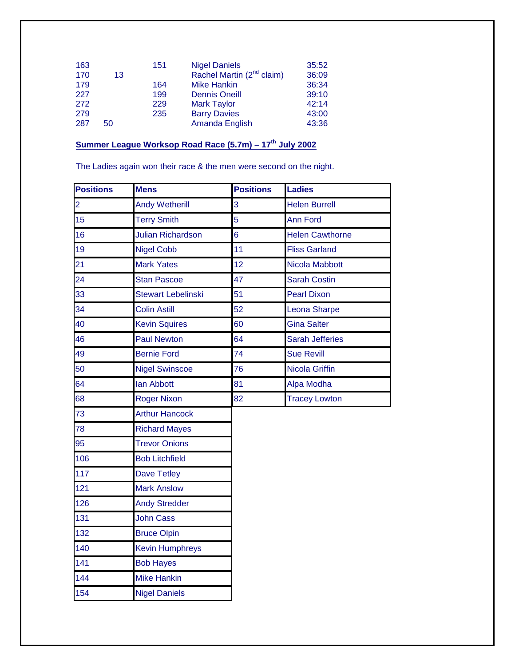| 163 |    | 151 | <b>Nigel Daniels</b>                  | 35:52 |
|-----|----|-----|---------------------------------------|-------|
| 170 | 13 |     | Rachel Martin (2 <sup>nd</sup> claim) | 36:09 |
| 179 |    | 164 | <b>Mike Hankin</b>                    | 36:34 |
| 227 |    | 199 | <b>Dennis Oneill</b>                  | 39:10 |
| 272 |    | 229 | <b>Mark Taylor</b>                    | 42:14 |
| 279 |    | 235 | <b>Barry Davies</b>                   | 43:00 |
| 287 | 50 |     | Amanda English                        | 43:36 |

# **Summer League Worksop Road Race (5.7m) – 17th July 2002**

The Ladies again won their race & the men were second on the night.

| <b>Positions</b> | <b>Mens</b>               | <b>Positions</b> | <b>Ladies</b>          |
|------------------|---------------------------|------------------|------------------------|
| $\overline{2}$   | <b>Andy Wetherill</b>     | 3                | <b>Helen Burrell</b>   |
| 15               | <b>Terry Smith</b>        | 5                | <b>Ann Ford</b>        |
| 16               | <b>Julian Richardson</b>  | 6                | <b>Helen Cawthorne</b> |
| 19               | <b>Nigel Cobb</b>         | 11               | <b>Fliss Garland</b>   |
| 21               | <b>Mark Yates</b>         | 12               | Nicola Mabbott         |
| 24               | <b>Stan Pascoe</b>        | 47               | <b>Sarah Costin</b>    |
| 33               | <b>Stewart Lebelinski</b> | 51               | <b>Pearl Dixon</b>     |
| 34               | <b>Colin Astill</b>       | 52               | Leona Sharpe           |
| 40               | <b>Kevin Squires</b>      | 60               | <b>Gina Salter</b>     |
| 46               | <b>Paul Newton</b>        | 64               | <b>Sarah Jefferies</b> |
| 49               | <b>Bernie Ford</b>        | 74               | <b>Sue Revill</b>      |
| 50               | <b>Nigel Swinscoe</b>     | 76               | <b>Nicola Griffin</b>  |
| 64               | <b>lan Abbott</b>         | 81               | Alpa Modha             |
| 68               | <b>Roger Nixon</b>        | 82               | <b>Tracey Lowton</b>   |
| 73               | <b>Arthur Hancock</b>     |                  |                        |
| 78               | <b>Richard Mayes</b>      |                  |                        |
| 95               | <b>Trevor Onions</b>      |                  |                        |
| 106              | <b>Bob Litchfield</b>     |                  |                        |
| 117              | Dave Tetley               |                  |                        |
| 121              | <b>Mark Anslow</b>        |                  |                        |
| 126              | <b>Andy Stredder</b>      |                  |                        |
| 131              | <b>John Cass</b>          |                  |                        |
| 132              | <b>Bruce Olpin</b>        |                  |                        |
| 140              | <b>Kevin Humphreys</b>    |                  |                        |
| 141              | <b>Bob Hayes</b>          |                  |                        |
| 144              | <b>Mike Hankin</b>        |                  |                        |
| 154              | <b>Nigel Daniels</b>      |                  |                        |
|                  |                           |                  |                        |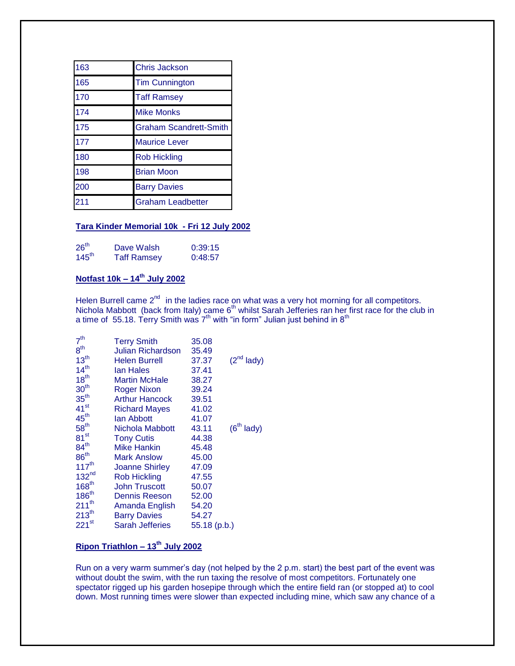| 163 | <b>Chris Jackson</b>          |
|-----|-------------------------------|
| 165 | <b>Tim Cunnington</b>         |
| 170 | <b>Taff Ramsey</b>            |
| 174 | <b>Mike Monks</b>             |
| 175 | <b>Graham Scandrett-Smith</b> |
| 177 | <b>Maurice Lever</b>          |
| 180 | <b>Rob Hickling</b>           |
| 198 | <b>Brian Moon</b>             |
| 200 | <b>Barry Davies</b>           |
| 211 | <b>Graham Leadbetter</b>      |

#### **Tara Kinder Memorial 10k - Fri 12 July 2002**

| 26 <sup>th</sup>  | Dave Walsh         | 0:39:15 |
|-------------------|--------------------|---------|
| $145^{\text{th}}$ | <b>Taff Ramsey</b> | 0:48:57 |

# **Notfast 10k – 14th July 2002**

Helen Burrell came 2<sup>nd</sup> in the ladies race on what was a very hot morning for all competitors. Nichola Mabbott (back from Italy) came  $6<sup>th</sup>$  whilst Sarah Jefferies ran her first race for the club in a time of 55.18. Terry Smith was  $7<sup>th</sup>$  with "in form" Julian just behind in  $8<sup>th</sup>$ 

| <b>Terry Smith</b>       | 35.08        |                 |
|--------------------------|--------------|-----------------|
| <b>Julian Richardson</b> | 35.49        |                 |
| Helen Burrell            | 37.37        | $(2^{nd}$ lady) |
| lan Hales                | 37.41        |                 |
| Martin McHale            | 38.27        |                 |
| <b>Roger Nixon</b>       | 39.24        |                 |
| <b>Arthur Hancock</b>    | 39.51        |                 |
| Richard Mayes            | 41.02        |                 |
| lan Abbott               | 41.07        |                 |
| Nichola Mabbott          | 43.11        | $(6th$ lady)    |
| <b>Tony Cutis</b>        | 44.38        |                 |
| <b>Mike Hankin</b>       | 45.48        |                 |
| Mark Anslow              | 45.00        |                 |
| <b>Joanne Shirley</b>    | 47.09        |                 |
| <b>Rob Hickling</b>      | 47.55        |                 |
| <b>John Truscott</b>     | 50.07        |                 |
| <b>Dennis Reeson</b>     | 52.00        |                 |
| Amanda English           | 54.20        |                 |
| <b>Barry Davies</b>      | 54.27        |                 |
| <b>Sarah Jefferies</b>   | 55.18 (p.b.) |                 |
|                          |              |                 |

# **Ripon Triathlon – 13th July 2002**

Run on a very warm summer's day (not helped by the 2 p.m. start) the best part of the event was without doubt the swim, with the run taxing the resolve of most competitors. Fortunately one spectator rigged up his garden hosepipe through which the entire field ran (or stopped at) to cool down. Most running times were slower than expected including mine, which saw any chance of a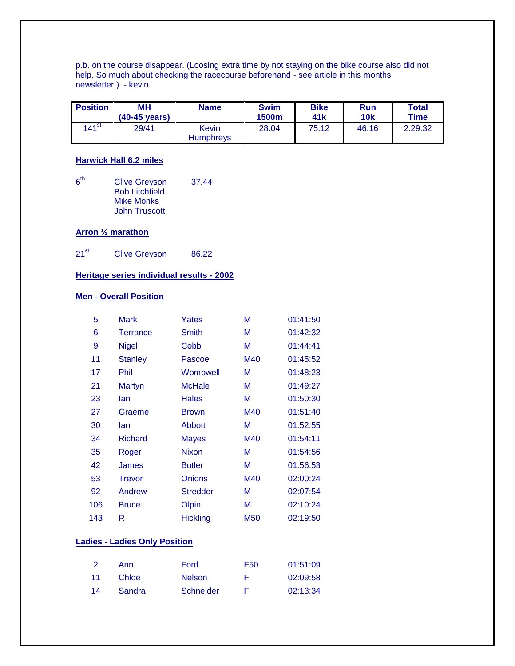p.b. on the course disappear. (Loosing extra time by not staying on the bike course also did not help. So much about checking the racecourse beforehand - see article in this months newsletter!). - kevin

| <b>Position</b>     | MН<br>$(40-45 \text{ years})$ | <b>Name</b>               | <b>Swim</b><br>1500m | <b>Bike</b><br>41 <sub>k</sub> | Run<br><b>10k</b> | <b>Total</b><br>Time |
|---------------------|-------------------------------|---------------------------|----------------------|--------------------------------|-------------------|----------------------|
| $141$ <sup>st</sup> | 29/41                         | Kevin<br><b>Humphrevs</b> | 28.04                | 75.12                          | 46.16             | 2.29.32              |

#### **Harwick Hall 6.2 miles**

 $6<sup>th</sup>$ Clive Greyson 37.44 Bob Litchfield Mike Monks John Truscott

#### **Arron ½ marathon**

21<sup>st</sup> Clive Greyson 86.22

# **Heritage series individual results - 2002**

### **Men - Overall Position**

| 5                                    | <b>Mark</b>     | Yates           | М   | 01:41:50 |  |
|--------------------------------------|-----------------|-----------------|-----|----------|--|
| 6                                    | <b>Terrance</b> | <b>Smith</b>    | М   | 01:42:32 |  |
| 9                                    | <b>Nigel</b>    | Cobb            | М   | 01:44:41 |  |
| 11                                   | <b>Stanley</b>  | Pascoe          | M40 | 01:45:52 |  |
| 17                                   | Phil            | Wombwell        | М   | 01:48:23 |  |
| 21                                   | Martyn          | <b>McHale</b>   | М   | 01:49:27 |  |
| 23                                   | lan             | Hales           | М   | 01:50:30 |  |
| 27                                   | Graeme          | <b>Brown</b>    | M40 | 01:51:40 |  |
| 30                                   | lan             | Abbott          | М   | 01:52:55 |  |
| 34                                   | <b>Richard</b>  | <b>Mayes</b>    | M40 | 01:54:11 |  |
| 35                                   | Roger           | <b>Nixon</b>    | М   | 01:54:56 |  |
| 42                                   | James           | <b>Butler</b>   | М   | 01:56:53 |  |
| 53                                   | <b>Trevor</b>   | <b>Onions</b>   | M40 | 02:00:24 |  |
| 92                                   | Andrew          | <b>Stredder</b> | м   | 02:07:54 |  |
| 106                                  | <b>Bruce</b>    | Olpin           | М   | 02:10:24 |  |
| 143                                  | R               | <b>Hickling</b> | M50 | 02:19:50 |  |
|                                      |                 |                 |     |          |  |
| <b>Ladies - Ladies Only Position</b> |                 |                 |     |          |  |

|    | Ann    | Ford          | F50 | 01:51:09 |
|----|--------|---------------|-----|----------|
| 11 | Chloe  | <b>Nelson</b> | н   | 02:09:58 |
| 14 | Sandra | Schneider     |     | 02:13:34 |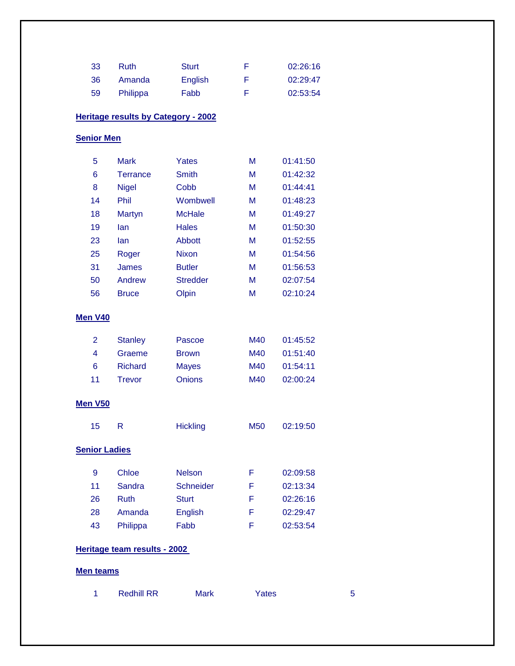| -33 | Ruth     | <b>Sturt</b> |   | 02:26:16 |
|-----|----------|--------------|---|----------|
| -36 | Amanda   | English      | F | 02:29:47 |
| 59  | Philippa | Fabb         | н | 02:53:54 |

### **Heritage results by Category - 2002**

#### **Senior Men**

| 5  | <b>Mark</b>     | Yates           | M | 01:41:50 |
|----|-----------------|-----------------|---|----------|
| 6  | <b>Terrance</b> | Smith           | M | 01:42:32 |
| 8  | <b>Nigel</b>    | Cobb            | M | 01:44:41 |
| 14 | Phil            | Wombwell        | M | 01:48:23 |
| 18 | Martyn          | <b>McHale</b>   | M | 01:49:27 |
| 19 | lan             | <b>Hales</b>    | M | 01:50:30 |
| 23 | lan             | Abbott          | M | 01:52:55 |
| 25 | Roger           | <b>Nixon</b>    | M | 01:54:56 |
| 31 | James           | <b>Butler</b>   | м | 01:56:53 |
| 50 | Andrew          | <b>Stredder</b> | м | 02:07:54 |
| 56 | <b>Bruce</b>    | Olpin           | M | 02:10:24 |

### **Men V40**

| 2  | <b>Stanley</b> | Pascoe        | M40 | 01:45:52 |
|----|----------------|---------------|-----|----------|
| 4  | Graeme         | <b>Brown</b>  | M40 | 01:51:40 |
| 6  | <b>Richard</b> | <b>Mayes</b>  | M40 | 01:54:11 |
| 11 | Trevor         | <b>Onions</b> | M40 | 02:00:24 |

#### **Men V50**

| -15 | <b>Hickling</b> | M50 | 02:19:50 |
|-----|-----------------|-----|----------|
|     |                 |     |          |

# **Senior Ladies**

| 9  | Chloe    | <b>Nelson</b>    | ь | 02:09:58 |
|----|----------|------------------|---|----------|
| 11 | Sandra   | <b>Schneider</b> | н | 02:13:34 |
| 26 | Ruth     | <b>Sturt</b>     | F | 02:26:16 |
| 28 | Amanda   | English          | F | 02:29:47 |
| 43 | Philippa | Fabb             |   | 02:53:54 |

#### **Heritage team results - 2002**

#### **Men teams**

| <b>Redhill RR</b> | Mark | Yates |  |
|-------------------|------|-------|--|
|                   |      |       |  |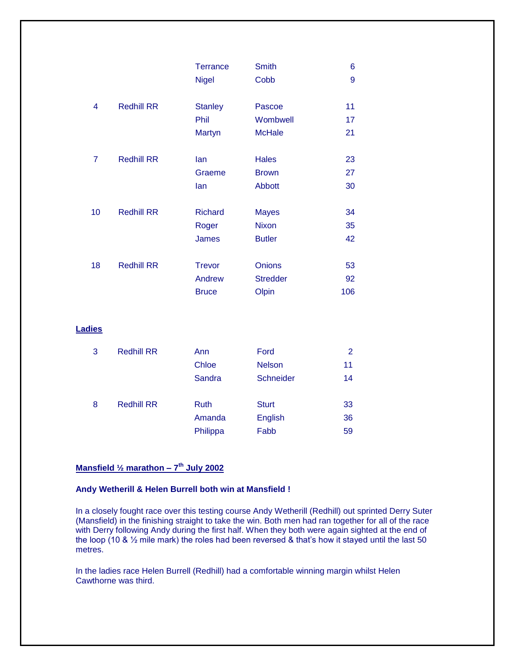|    |                   | <b>Terrance</b> | <b>Smith</b>    | 6   |
|----|-------------------|-----------------|-----------------|-----|
|    |                   | <b>Nigel</b>    | Cobb            | 9   |
| 4  | <b>Redhill RR</b> | <b>Stanley</b>  | Pascoe          | 11  |
|    |                   | Phil            | Wombwell        | 17  |
|    |                   | Martyn          | <b>McHale</b>   | 21  |
| 7  | <b>Redhill RR</b> | lan             | <b>Hales</b>    | 23  |
|    |                   | Graeme          | <b>Brown</b>    | 27  |
|    |                   | lan             | <b>Abbott</b>   | 30  |
| 10 | <b>Redhill RR</b> | <b>Richard</b>  | <b>Mayes</b>    | 34  |
|    |                   | Roger           | <b>Nixon</b>    | 35  |
|    |                   | <b>James</b>    | <b>Butler</b>   | 42  |
| 18 | <b>Redhill RR</b> | <b>Trevor</b>   | <b>Onions</b>   | 53  |
|    |                   | Andrew          | <b>Stredder</b> | 92  |
|    |                   | <b>Bruce</b>    | Olpin           | 106 |
|    |                   |                 |                 |     |

#### **Ladies**

| 3 | <b>Redhill RR</b> | Ann         | Ford             | 2  |
|---|-------------------|-------------|------------------|----|
|   |                   | Chloe       | <b>Nelson</b>    | 11 |
|   |                   | Sandra      | <b>Schneider</b> | 14 |
|   |                   |             |                  |    |
| 8 | <b>Redhill RR</b> | <b>Ruth</b> | <b>Sturt</b>     | 33 |
|   |                   | Amanda      | English          | 36 |
|   |                   | Philippa    | Fabb             | 59 |

#### **Mansfield ½ marathon – 7 th July 2002**

#### **Andy Wetherill & Helen Burrell both win at Mansfield !**

In a closely fought race over this testing course Andy Wetherill (Redhill) out sprinted Derry Suter (Mansfield) in the finishing straight to take the win. Both men had ran together for all of the race with Derry following Andy during the first half. When they both were again sighted at the end of the loop (10 & ½ mile mark) the roles had been reversed & that's how it stayed until the last 50 metres.

In the ladies race Helen Burrell (Redhill) had a comfortable winning margin whilst Helen Cawthorne was third.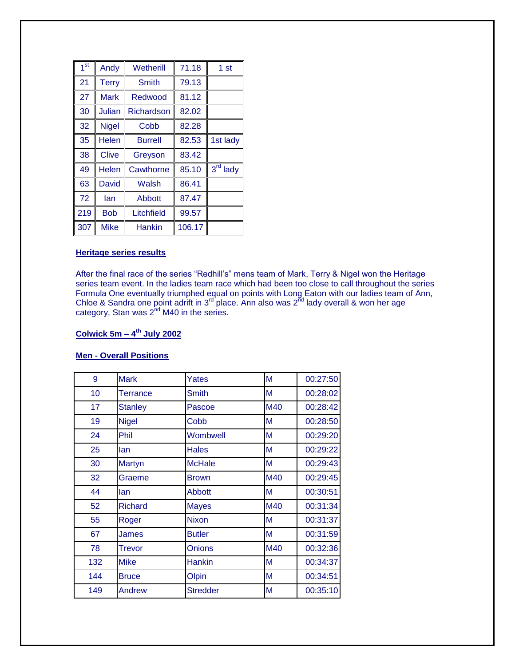| 1 <sup>st</sup> | Andy         | Wetherill      | 71.18  | 1 st                 |
|-----------------|--------------|----------------|--------|----------------------|
| 21              | <b>Terry</b> | <b>Smith</b>   | 79.13  |                      |
| 27              | <b>Mark</b>  | Redwood        | 81.12  |                      |
| 30              | Julian       | Richardson     | 82.02  |                      |
| 32              | <b>Nigel</b> | Cobb           | 82.28  |                      |
| 35              | <b>Helen</b> | <b>Burrell</b> | 82.53  | 1st lady             |
| 38              | <b>Clive</b> | Greyson        | 83.42  |                      |
| 49              | <b>Helen</b> | Cawthorne      | 85.10  | 3 <sup>rd</sup> lady |
| 63              | <b>David</b> | Walsh          | 86.41  |                      |
| 72              | lan          | Abbott         | 87.47  |                      |
| 219             | <b>Bob</b>   | Litchfield     | 99.57  |                      |
| 307             | <b>Mike</b>  | <b>Hankin</b>  | 106.17 |                      |

#### **Heritage series results**

After the final race of the series "Redhill's" mens team of Mark, Terry & Nigel won the Heritage series team event. In the ladies team race which had been too close to call throughout the series Formula One eventually triumphed equal on points with Long Eaton with our ladies team of Ann, Chloe & Sandra one point adrift in 3<sup>rd</sup> place. Ann also was 2<sup>nd</sup> lady overall & won her age category, Stan was  $2^{nd}$  M40 in the series.

#### **Colwick 5m – 4 th July 2002**

#### **Men - Overall Positions**

| 9   | <b>Mark</b>    | Yates           | M   | 00:27:50 |
|-----|----------------|-----------------|-----|----------|
| 10  | Terrance       | <b>Smith</b>    | M   | 00:28:02 |
| 17  | <b>Stanley</b> | Pascoe          | M40 | 00:28:42 |
| 19  | <b>Nigel</b>   | Cobb            | M   | 00:28:50 |
| 24  | Phil           | Wombwell        | M   | 00:29:20 |
| 25  | lan            | <b>Hales</b>    | M   | 00:29:22 |
| 30  | Martyn         | <b>McHale</b>   | M   | 00:29:43 |
| 32  | Graeme         | <b>Brown</b>    | M40 | 00:29:45 |
| 44  | lan            | <b>Abbott</b>   | M   | 00:30:51 |
| 52  | <b>Richard</b> | <b>Mayes</b>    | M40 | 00:31:34 |
| 55  | Roger          | <b>Nixon</b>    | M   | 00:31:37 |
| 67  | <b>James</b>   | <b>Butler</b>   | M   | 00:31:59 |
| 78  | Trevor         | <b>Onions</b>   | M40 | 00:32:36 |
| 132 | <b>Mike</b>    | <b>Hankin</b>   | M   | 00:34:37 |
| 144 | <b>Bruce</b>   | Olpin           | M   | 00:34:51 |
| 149 | Andrew         | <b>Stredder</b> | M   | 00:35:10 |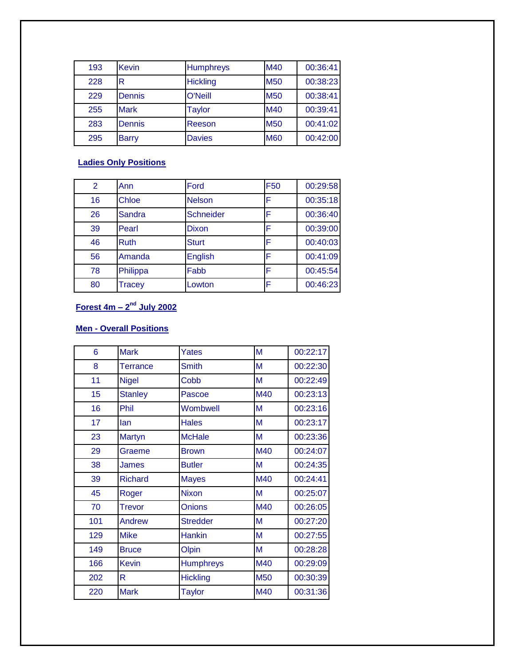| 193 | <b>Kevin</b> | <b>Humphreys</b> | M40        | 00:36:41 |
|-----|--------------|------------------|------------|----------|
| 228 | R            | <b>Hickling</b>  | <b>M50</b> | 00:38:23 |
| 229 | Dennis       | <b>O'Neill</b>   | <b>M50</b> | 00:38:41 |
| 255 | <b>Mark</b>  | <b>Taylor</b>    | M40        | 00:39:41 |
| 283 | Dennis       | Reeson           | <b>M50</b> | 00:41:02 |
| 295 | <b>Barry</b> | <b>Davies</b>    | <b>M60</b> | 00:42:00 |

# **Ladies Only Positions**

| 2  | Ann           | Ford          | F <sub>50</sub> | 00:29:58 |
|----|---------------|---------------|-----------------|----------|
| 16 | <b>Chloe</b>  | <b>Nelson</b> | F               | 00:35:18 |
| 26 | Sandra        | Schneider     | F               | 00:36:40 |
| 39 | Pearl         | <b>Dixon</b>  | F               | 00:39:00 |
| 46 | <b>Ruth</b>   | <b>Sturt</b>  | F               | 00:40:03 |
| 56 | Amanda        | English       | F               | 00:41:09 |
| 78 | Philippa      | Fabb          | F               | 00:45:54 |
| 80 | <b>Tracey</b> | Lowton        | F               | 00:46:23 |

# **Forest 4m – 2 nd July 2002**

# **Men - Overall Positions**

| 6   | <b>Mark</b>    | Yates            | M   | 00:22:17 |
|-----|----------------|------------------|-----|----------|
| 8   | Terrance       | <b>Smith</b>     | M   | 00:22:30 |
| 11  | <b>Nigel</b>   | Cobb             | M   | 00:22:49 |
| 15  | <b>Stanley</b> | Pascoe           | M40 | 00:23:13 |
| 16  | Phil           | Wombwell         | M   | 00:23:16 |
| 17  | lan            | <b>Hales</b>     | M   | 00:23:17 |
| 23  | <b>Martyn</b>  | <b>McHale</b>    | M   | 00:23:36 |
| 29  | Graeme         | <b>Brown</b>     | M40 | 00:24:07 |
| 38  | <b>James</b>   | <b>Butler</b>    | M   | 00:24:35 |
| 39  | <b>Richard</b> | <b>Mayes</b>     | M40 | 00:24:41 |
| 45  | Roger          | <b>Nixon</b>     | M   | 00:25:07 |
| 70  | <b>Trevor</b>  | <b>Onions</b>    | M40 | 00:26:05 |
| 101 | <b>Andrew</b>  | <b>Stredder</b>  | M   | 00:27:20 |
| 129 | <b>Mike</b>    | <b>Hankin</b>    | M   | 00:27:55 |
| 149 | <b>Bruce</b>   | Olpin            | M   | 00:28:28 |
| 166 | <b>Kevin</b>   | <b>Humphreys</b> | M40 | 00:29:09 |
| 202 | R              | <b>Hickling</b>  | M50 | 00:30:39 |
| 220 | <b>Mark</b>    | <b>Taylor</b>    | M40 | 00:31:36 |